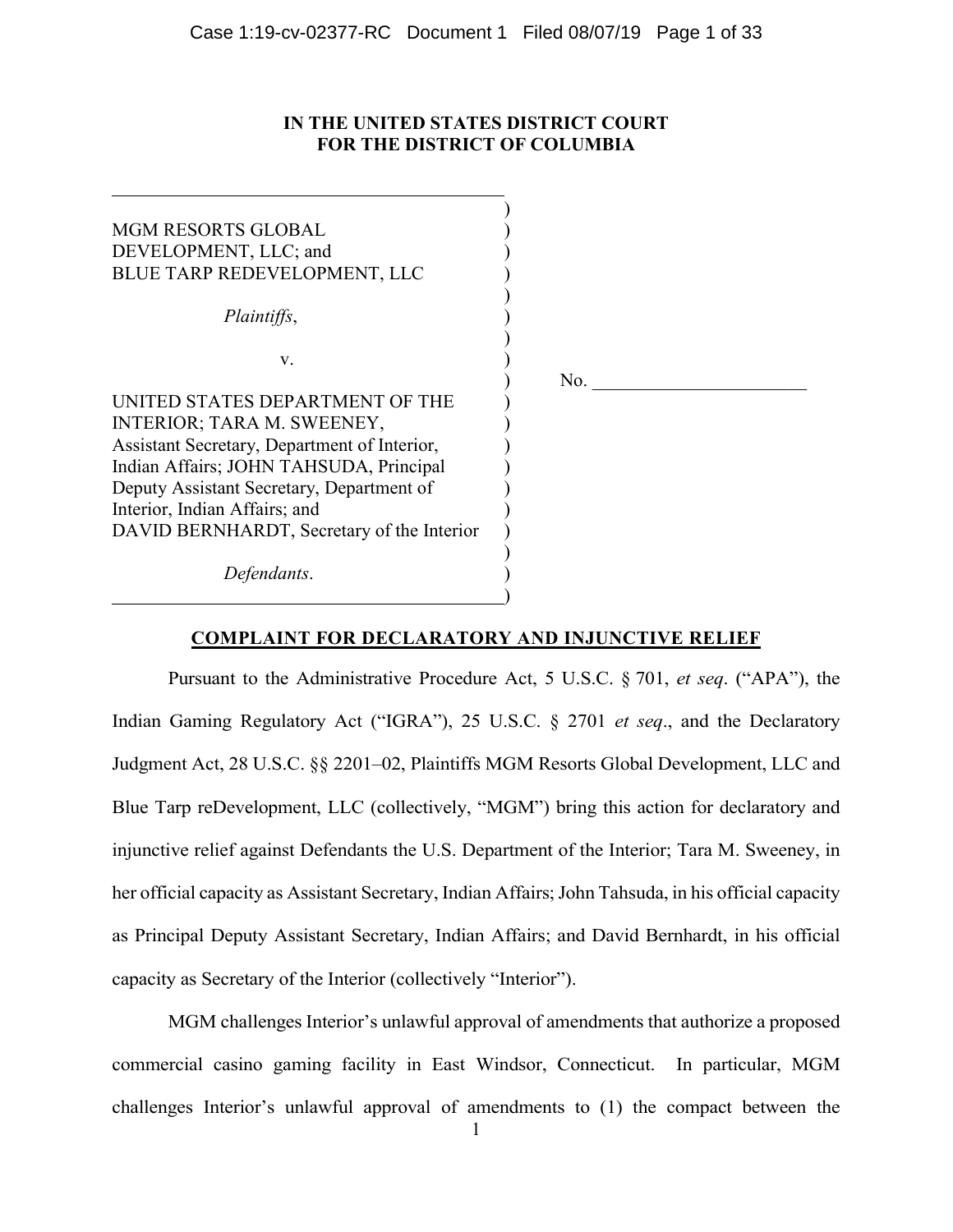# **IN THE UNITED STATES DISTRICT COURT FOR THE DISTRICT OF COLUMBIA**

| <b>MGM RESORTS GLOBAL</b>                    |     |
|----------------------------------------------|-----|
| DEVELOPMENT, LLC; and                        |     |
| BLUE TARP REDEVELOPMENT, LLC                 |     |
|                                              |     |
| Plaintiffs,                                  |     |
|                                              |     |
|                                              |     |
| V.                                           |     |
|                                              | No. |
| UNITED STATES DEPARTMENT OF THE              |     |
| INTERIOR; TARA M. SWEENEY,                   |     |
| Assistant Secretary, Department of Interior, |     |
| Indian Affairs; JOHN TAHSUDA, Principal      |     |
| Deputy Assistant Secretary, Department of    |     |
|                                              |     |
| Interior, Indian Affairs; and                |     |
| DAVID BERNHARDT, Secretary of the Interior   |     |
|                                              |     |
| Defendants.                                  |     |
|                                              |     |
|                                              |     |

# **COMPLAINT FOR DECLARATORY AND INJUNCTIVE RELIEF**

Pursuant to the Administrative Procedure Act, 5 U.S.C. § 701, *et seq*. ("APA"), the Indian Gaming Regulatory Act ("IGRA"), 25 U.S.C. § 2701 *et seq*., and the Declaratory Judgment Act, 28 U.S.C. §§ 2201–02, Plaintiffs MGM Resorts Global Development, LLC and Blue Tarp reDevelopment, LLC (collectively, "MGM") bring this action for declaratory and injunctive relief against Defendants the U.S. Department of the Interior; Tara M. Sweeney, in her official capacity as Assistant Secretary, Indian Affairs; John Tahsuda, in his official capacity as Principal Deputy Assistant Secretary, Indian Affairs; and David Bernhardt, in his official capacity as Secretary of the Interior (collectively "Interior").

MGM challenges Interior's unlawful approval of amendments that authorize a proposed commercial casino gaming facility in East Windsor, Connecticut. In particular, MGM challenges Interior's unlawful approval of amendments to (1) the compact between the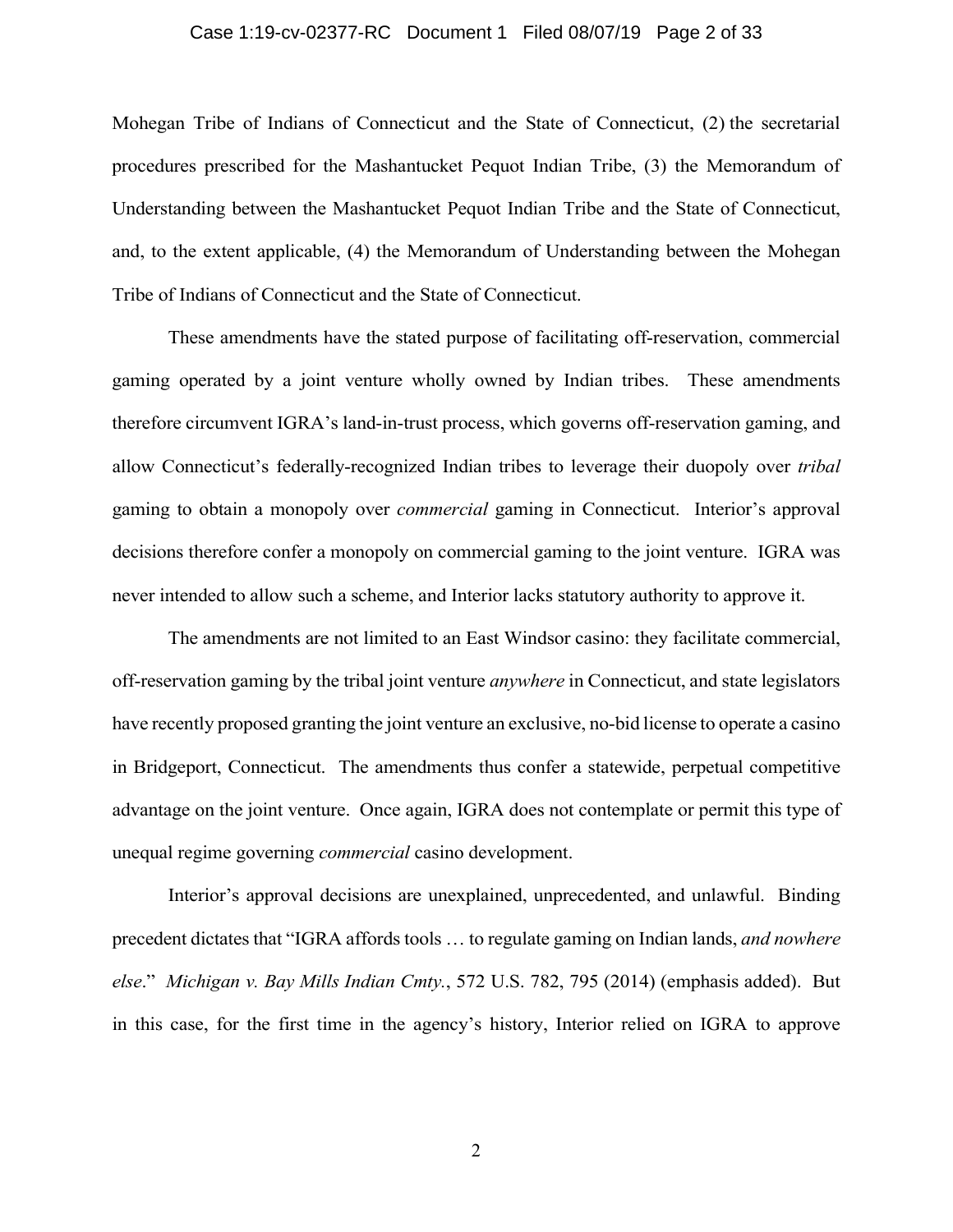# Case 1:19-cv-02377-RC Document 1 Filed 08/07/19 Page 2 of 33

Mohegan Tribe of Indians of Connecticut and the State of Connecticut, (2) the secretarial procedures prescribed for the Mashantucket Pequot Indian Tribe, (3) the Memorandum of Understanding between the Mashantucket Pequot Indian Tribe and the State of Connecticut, and, to the extent applicable, (4) the Memorandum of Understanding between the Mohegan Tribe of Indians of Connecticut and the State of Connecticut.

These amendments have the stated purpose of facilitating off-reservation, commercial gaming operated by a joint venture wholly owned by Indian tribes. These amendments therefore circumvent IGRA's land-in-trust process, which governs off-reservation gaming, and allow Connecticut's federally-recognized Indian tribes to leverage their duopoly over *tribal* gaming to obtain a monopoly over *commercial* gaming in Connecticut. Interior's approval decisions therefore confer a monopoly on commercial gaming to the joint venture. IGRA was never intended to allow such a scheme, and Interior lacks statutory authority to approve it.

The amendments are not limited to an East Windsor casino: they facilitate commercial, off-reservation gaming by the tribal joint venture *anywhere* in Connecticut, and state legislators have recently proposed granting the joint venture an exclusive, no-bid license to operate a casino in Bridgeport, Connecticut. The amendments thus confer a statewide, perpetual competitive advantage on the joint venture. Once again, IGRA does not contemplate or permit this type of unequal regime governing *commercial* casino development.

Interior's approval decisions are unexplained, unprecedented, and unlawful. Binding precedent dictates that "IGRA affords tools … to regulate gaming on Indian lands, *and nowhere else*." *Michigan v. Bay Mills Indian Cmty.*, 572 U.S. 782, 795 (2014) (emphasis added). But in this case, for the first time in the agency's history, Interior relied on IGRA to approve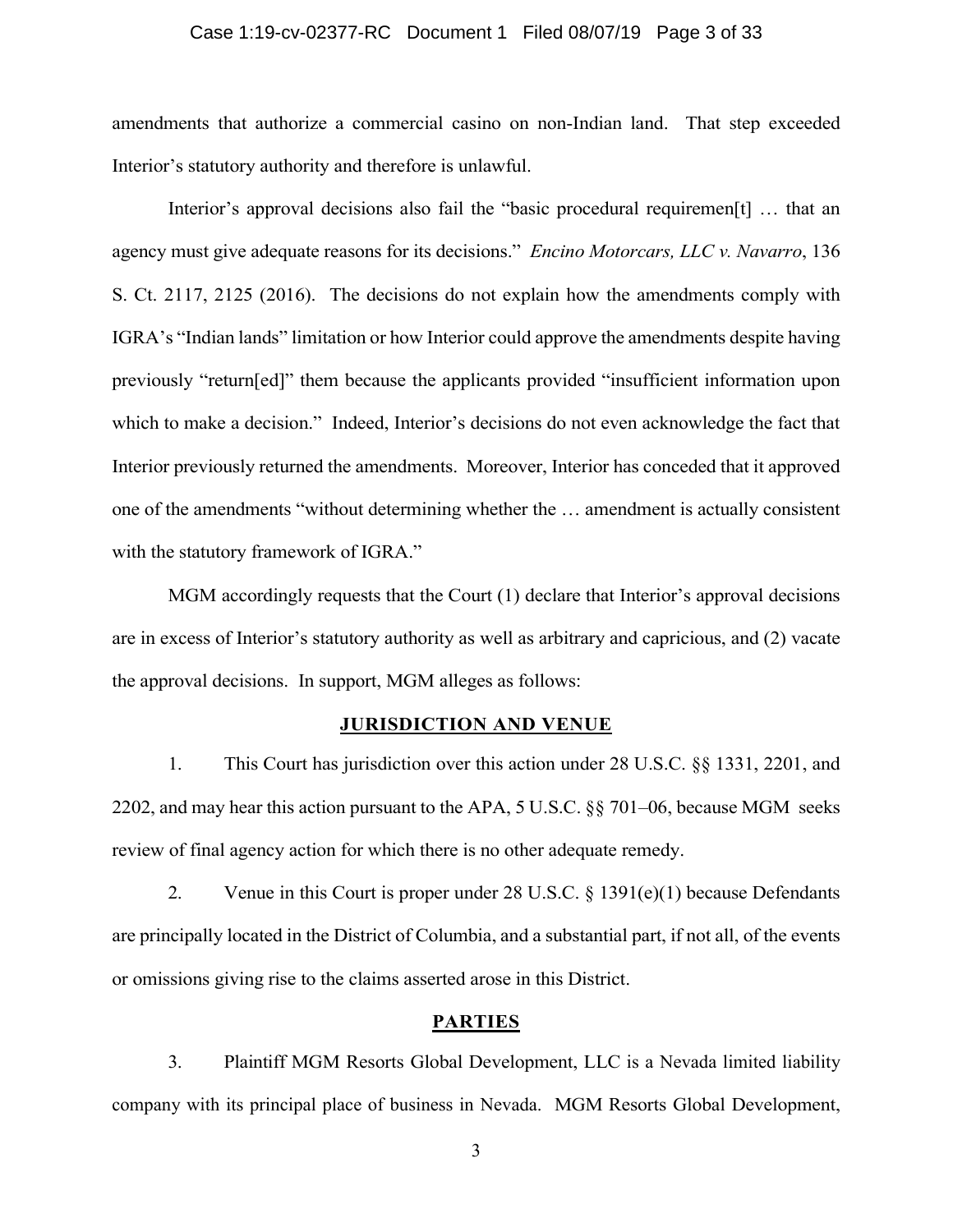# Case 1:19-cv-02377-RC Document 1 Filed 08/07/19 Page 3 of 33

amendments that authorize a commercial casino on non-Indian land. That step exceeded Interior's statutory authority and therefore is unlawful.

Interior's approval decisions also fail the "basic procedural requiremen[t] … that an agency must give adequate reasons for its decisions." *Encino Motorcars, LLC v. Navarro*, 136 S. Ct. 2117, 2125 (2016). The decisions do not explain how the amendments comply with IGRA's "Indian lands" limitation or how Interior could approve the amendments despite having previously "return[ed]" them because the applicants provided "insufficient information upon which to make a decision." Indeed, Interior's decisions do not even acknowledge the fact that Interior previously returned the amendments. Moreover, Interior has conceded that it approved one of the amendments "without determining whether the … amendment is actually consistent with the statutory framework of IGRA."

MGM accordingly requests that the Court (1) declare that Interior's approval decisions are in excess of Interior's statutory authority as well as arbitrary and capricious, and (2) vacate the approval decisions. In support, MGM alleges as follows:

# **JURISDICTION AND VENUE**

1. This Court has jurisdiction over this action under 28 U.S.C. §§ 1331, 2201, and 2202, and may hear this action pursuant to the APA, 5 U.S.C. §§ 701–06, because MGM seeks review of final agency action for which there is no other adequate remedy.

2. Venue in this Court is proper under 28 U.S.C. § 1391(e)(1) because Defendants are principally located in the District of Columbia, and a substantial part, if not all, of the events or omissions giving rise to the claims asserted arose in this District.

# **PARTIES**

3. Plaintiff MGM Resorts Global Development, LLC is a Nevada limited liability company with its principal place of business in Nevada. MGM Resorts Global Development,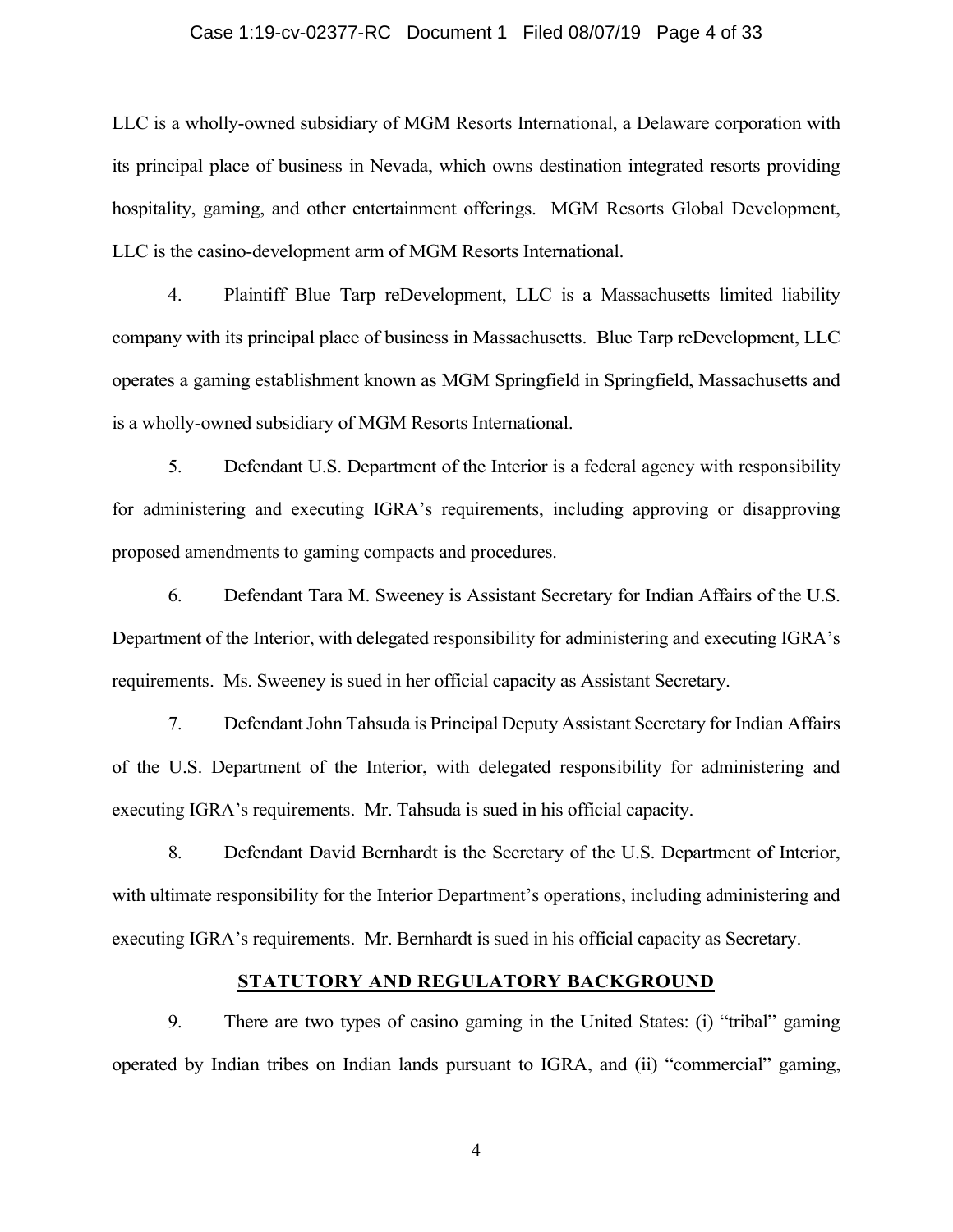# Case 1:19-cv-02377-RC Document 1 Filed 08/07/19 Page 4 of 33

LLC is a wholly-owned subsidiary of MGM Resorts International, a Delaware corporation with its principal place of business in Nevada, which owns destination integrated resorts providing hospitality, gaming, and other entertainment offerings. MGM Resorts Global Development, LLC is the casino-development arm of MGM Resorts International.

4. Plaintiff Blue Tarp reDevelopment, LLC is a Massachusetts limited liability company with its principal place of business in Massachusetts. Blue Tarp reDevelopment, LLC operates a gaming establishment known as MGM Springfield in Springfield, Massachusetts and is a wholly-owned subsidiary of MGM Resorts International.

5. Defendant U.S. Department of the Interior is a federal agency with responsibility for administering and executing IGRA's requirements, including approving or disapproving proposed amendments to gaming compacts and procedures.

6. Defendant Tara M. Sweeney is Assistant Secretary for Indian Affairs of the U.S. Department of the Interior, with delegated responsibility for administering and executing IGRA's requirements. Ms. Sweeney is sued in her official capacity as Assistant Secretary.

7. Defendant John Tahsuda is Principal Deputy Assistant Secretary for Indian Affairs of the U.S. Department of the Interior, with delegated responsibility for administering and executing IGRA's requirements. Mr. Tahsuda is sued in his official capacity.

8. Defendant David Bernhardt is the Secretary of the U.S. Department of Interior, with ultimate responsibility for the Interior Department's operations, including administering and executing IGRA's requirements. Mr. Bernhardt is sued in his official capacity as Secretary.

# **STATUTORY AND REGULATORY BACKGROUND**

9. There are two types of casino gaming in the United States: (i) "tribal" gaming operated by Indian tribes on Indian lands pursuant to IGRA, and (ii) "commercial" gaming,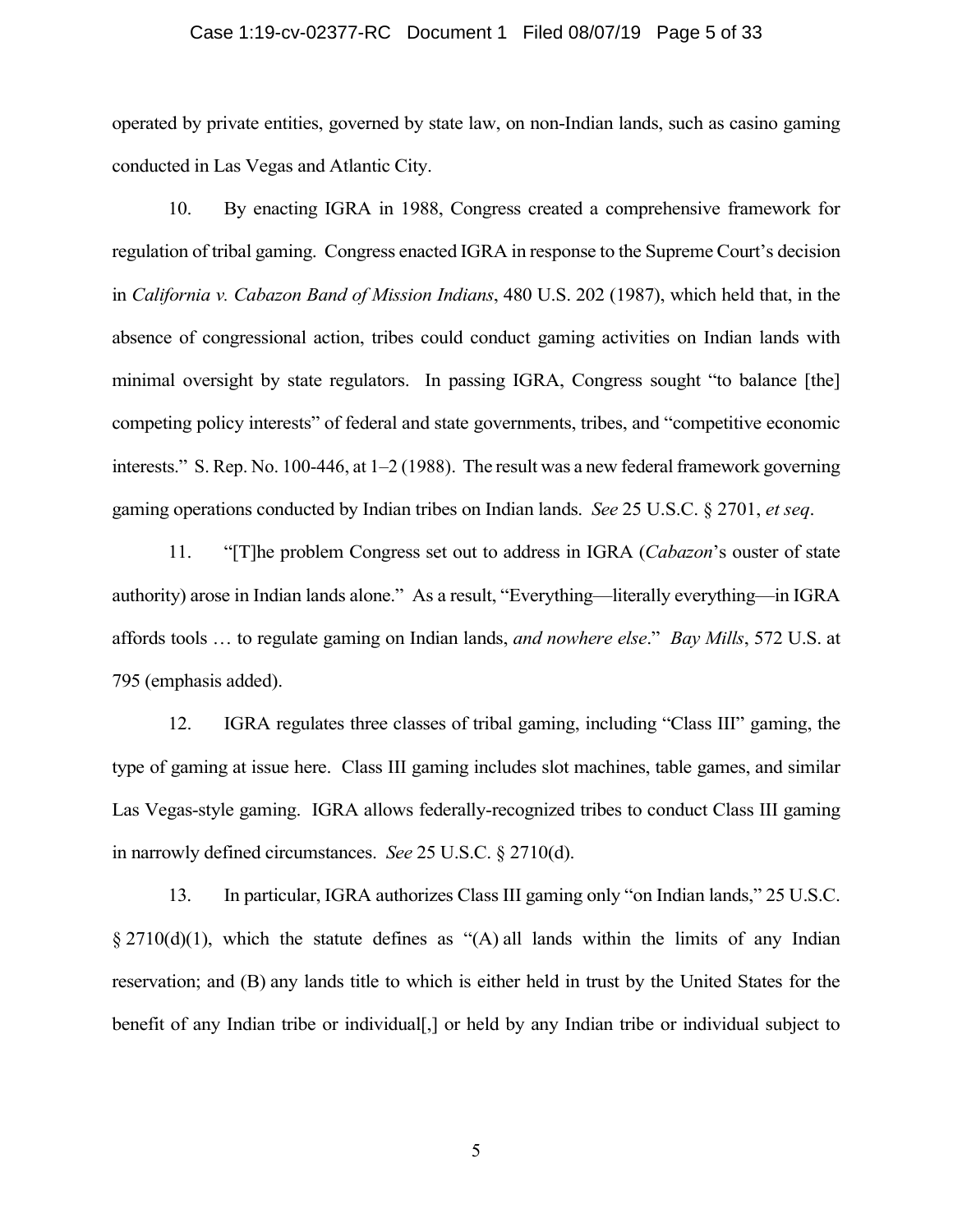# Case 1:19-cv-02377-RC Document 1 Filed 08/07/19 Page 5 of 33

operated by private entities, governed by state law, on non-Indian lands, such as casino gaming conducted in Las Vegas and Atlantic City.

10. By enacting IGRA in 1988, Congress created a comprehensive framework for regulation of tribal gaming. Congress enacted IGRA in response to the Supreme Court's decision in *California v. Cabazon Band of Mission Indians*, 480 U.S. 202 (1987), which held that, in the absence of congressional action, tribes could conduct gaming activities on Indian lands with minimal oversight by state regulators. In passing IGRA, Congress sought "to balance [the] competing policy interests" of federal and state governments, tribes, and "competitive economic interests." S. Rep. No. 100-446, at 1–2 (1988). The result was a new federal framework governing gaming operations conducted by Indian tribes on Indian lands. *See* 25 U.S.C. § 2701, *et seq*.

11. "[T]he problem Congress set out to address in IGRA (*Cabazon*'s ouster of state authority) arose in Indian lands alone." As a result, "Everything—literally everything—in IGRA affords tools … to regulate gaming on Indian lands, *and nowhere else*." *Bay Mills*, 572 U.S. at 795 (emphasis added).

12. IGRA regulates three classes of tribal gaming, including "Class III" gaming, the type of gaming at issue here. Class III gaming includes slot machines, table games, and similar Las Vegas-style gaming. IGRA allows federally-recognized tribes to conduct Class III gaming in narrowly defined circumstances. *See* 25 U.S.C. § 2710(d).

13. In particular, IGRA authorizes Class III gaming only "on Indian lands," 25 U.S.C.  $\S 2710(d)(1)$ , which the statute defines as "(A) all lands within the limits of any Indian reservation; and (B) any lands title to which is either held in trust by the United States for the benefit of any Indian tribe or individual[,] or held by any Indian tribe or individual subject to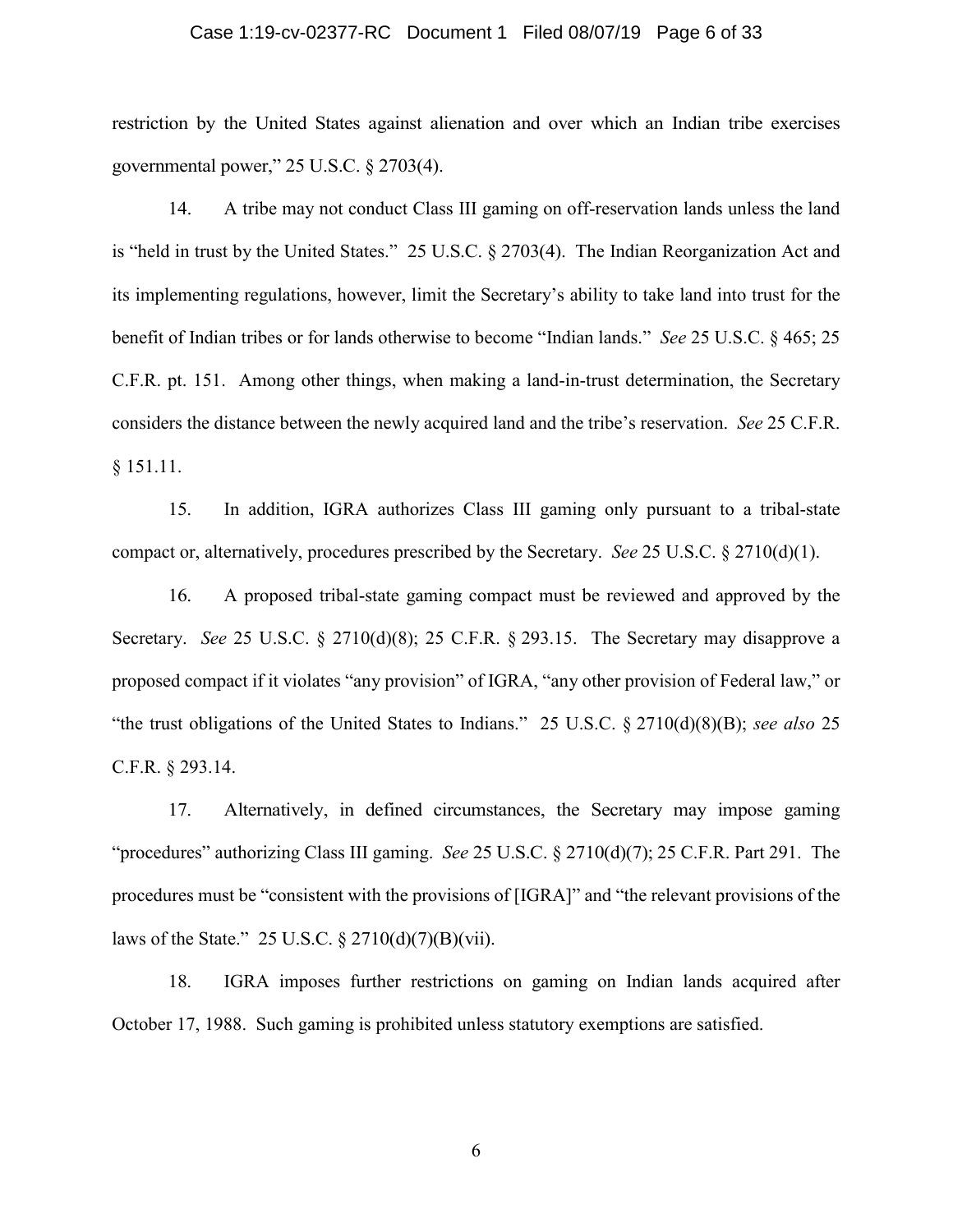# Case 1:19-cv-02377-RC Document 1 Filed 08/07/19 Page 6 of 33

restriction by the United States against alienation and over which an Indian tribe exercises governmental power," 25 U.S.C. § 2703(4).

14. A tribe may not conduct Class III gaming on off-reservation lands unless the land is "held in trust by the United States." 25 U.S.C. § 2703(4). The Indian Reorganization Act and its implementing regulations, however, limit the Secretary's ability to take land into trust for the benefit of Indian tribes or for lands otherwise to become "Indian lands." *See* 25 U.S.C. § 465; 25 C.F.R. pt. 151. Among other things, when making a land-in-trust determination, the Secretary considers the distance between the newly acquired land and the tribe's reservation. *See* 25 C.F.R. § 151.11.

15. In addition, IGRA authorizes Class III gaming only pursuant to a tribal-state compact or, alternatively, procedures prescribed by the Secretary. *See* 25 U.S.C. § 2710(d)(1).

16. A proposed tribal-state gaming compact must be reviewed and approved by the Secretary. *See* 25 U.S.C. § 2710(d)(8); 25 C.F.R. § 293.15. The Secretary may disapprove a proposed compact if it violates "any provision" of IGRA, "any other provision of Federal law," or "the trust obligations of the United States to Indians." 25 U.S.C. § 2710(d)(8)(B); *see also* 25 C.F.R. § 293.14.

17. Alternatively, in defined circumstances, the Secretary may impose gaming "procedures" authorizing Class III gaming. *See* 25 U.S.C. § 2710(d)(7); 25 C.F.R. Part 291. The procedures must be "consistent with the provisions of [IGRA]" and "the relevant provisions of the laws of the State." 25 U.S.C.  $\S 2710(d)(7)(B)(vii)$ .

18. IGRA imposes further restrictions on gaming on Indian lands acquired after October 17, 1988. Such gaming is prohibited unless statutory exemptions are satisfied.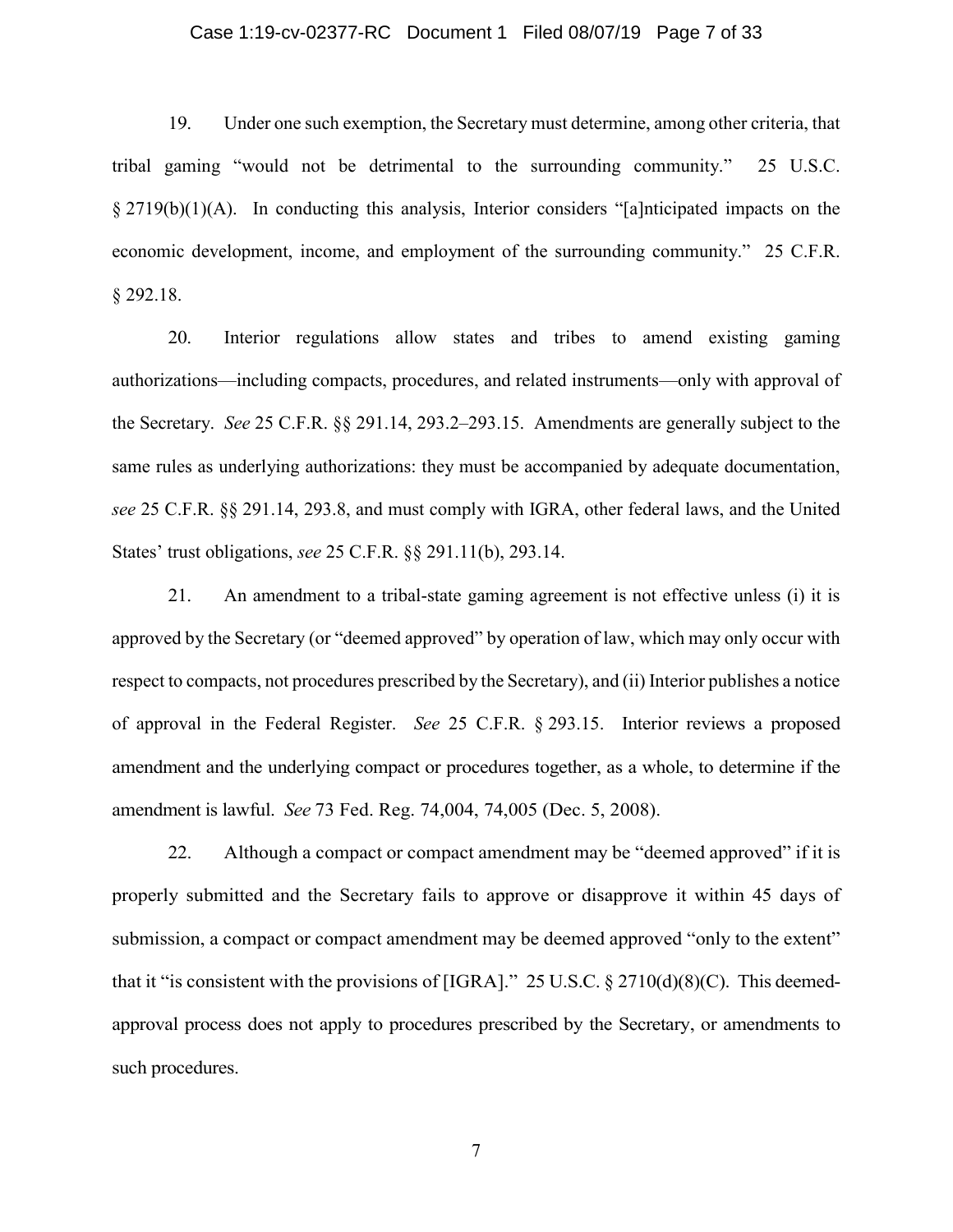# Case 1:19-cv-02377-RC Document 1 Filed 08/07/19 Page 7 of 33

19. Under one such exemption, the Secretary must determine, among other criteria, that tribal gaming "would not be detrimental to the surrounding community." 25 U.S.C. § 2719(b)(1)(A). In conducting this analysis, Interior considers "[a]nticipated impacts on the economic development, income, and employment of the surrounding community." 25 C.F.R. § 292.18.

20. Interior regulations allow states and tribes to amend existing gaming authorizations—including compacts, procedures, and related instruments—only with approval of the Secretary. *See* 25 C.F.R. §§ 291.14, 293.2–293.15. Amendments are generally subject to the same rules as underlying authorizations: they must be accompanied by adequate documentation, *see* 25 C.F.R. §§ 291.14, 293.8, and must comply with IGRA, other federal laws, and the United States' trust obligations, *see* 25 C.F.R. §§ 291.11(b), 293.14.

21. An amendment to a tribal-state gaming agreement is not effective unless (i) it is approved by the Secretary (or "deemed approved" by operation of law, which may only occur with respect to compacts, not procedures prescribed by the Secretary), and (ii) Interior publishes a notice of approval in the Federal Register. *See* 25 C.F.R. § 293.15. Interior reviews a proposed amendment and the underlying compact or procedures together, as a whole, to determine if the amendment is lawful. *See* 73 Fed. Reg. 74,004, 74,005 (Dec. 5, 2008).

22. Although a compact or compact amendment may be "deemed approved" if it is properly submitted and the Secretary fails to approve or disapprove it within 45 days of submission, a compact or compact amendment may be deemed approved "only to the extent" that it "is consistent with the provisions of [IGRA]." 25 U.S.C. § 2710(d)(8)(C). This deemedapproval process does not apply to procedures prescribed by the Secretary, or amendments to such procedures.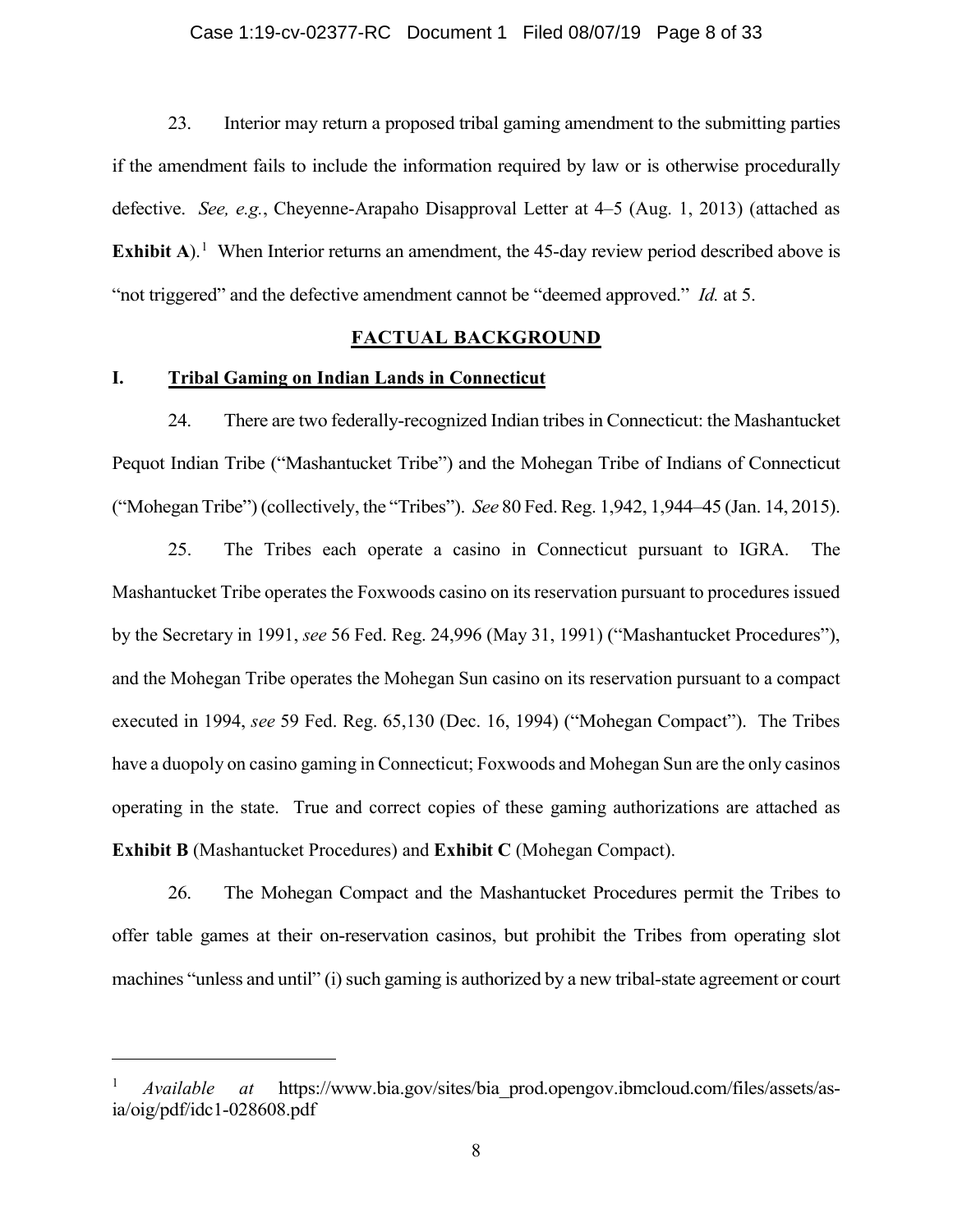23. Interior may return a proposed tribal gaming amendment to the submitting parties if the amendment fails to include the information required by law or is otherwise procedurally defective. *See, e.g.*, Cheyenne-Arapaho Disapproval Letter at 4–5 (Aug. 1, 2013) (attached as **Exhibit A**).<sup>1</sup> When Interior returns an amendment, the 45-day review period described above is "not triggered" and the defective amendment cannot be "deemed approved." *Id.* at 5.

# **FACTUAL BACKGROUND**

# **I. Tribal Gaming on Indian Lands in Connecticut**

 $\overline{a}$ 

24. There are two federally-recognized Indian tribes in Connecticut: the Mashantucket Pequot Indian Tribe ("Mashantucket Tribe") and the Mohegan Tribe of Indians of Connecticut ("Mohegan Tribe") (collectively, the "Tribes"). *See* 80 Fed. Reg. 1,942, 1,944–45 (Jan. 14, 2015).

25. The Tribes each operate a casino in Connecticut pursuant to IGRA. The Mashantucket Tribe operates the Foxwoods casino on its reservation pursuant to procedures issued by the Secretary in 1991, *see* 56 Fed. Reg. 24,996 (May 31, 1991) ("Mashantucket Procedures"), and the Mohegan Tribe operates the Mohegan Sun casino on its reservation pursuant to a compact executed in 1994, *see* 59 Fed. Reg. 65,130 (Dec. 16, 1994) ("Mohegan Compact"). The Tribes have a duopoly on casino gaming in Connecticut; Foxwoods and Mohegan Sun are the only casinos operating in the state. True and correct copies of these gaming authorizations are attached as **Exhibit B** (Mashantucket Procedures) and **Exhibit C** (Mohegan Compact).

26. The Mohegan Compact and the Mashantucket Procedures permit the Tribes to offer table games at their on-reservation casinos, but prohibit the Tribes from operating slot machines "unless and until" (i) such gaming is authorized by a new tribal-state agreement or court

<sup>1</sup> *Available at* https://www.bia.gov/sites/bia\_prod.opengov.ibmcloud.com/files/assets/asia/oig/pdf/idc1-028608.pdf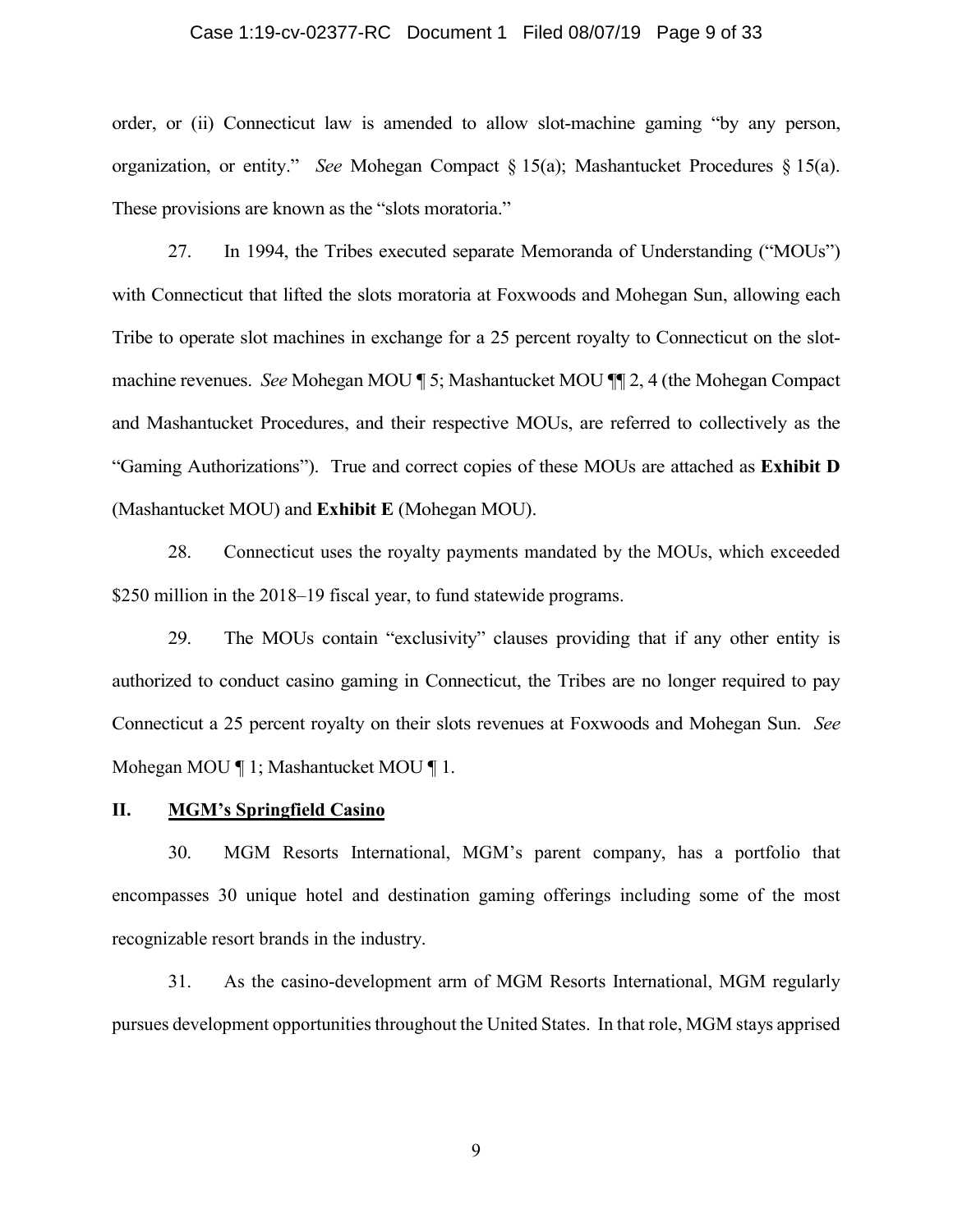# Case 1:19-cv-02377-RC Document 1 Filed 08/07/19 Page 9 of 33

order, or (ii) Connecticut law is amended to allow slot-machine gaming "by any person, organization, or entity." *See* Mohegan Compact § 15(a); Mashantucket Procedures § 15(a). These provisions are known as the "slots moratoria."

27. In 1994, the Tribes executed separate Memoranda of Understanding ("MOUs") with Connecticut that lifted the slots moratoria at Foxwoods and Mohegan Sun, allowing each Tribe to operate slot machines in exchange for a 25 percent royalty to Connecticut on the slotmachine revenues. *See* Mohegan MOU ¶ 5; Mashantucket MOU ¶¶ 2, 4 (the Mohegan Compact and Mashantucket Procedures, and their respective MOUs, are referred to collectively as the "Gaming Authorizations"). True and correct copies of these MOUs are attached as **Exhibit D** (Mashantucket MOU) and **Exhibit E** (Mohegan MOU).

28. Connecticut uses the royalty payments mandated by the MOUs, which exceeded \$250 million in the 2018–19 fiscal year, to fund statewide programs.

29. The MOUs contain "exclusivity" clauses providing that if any other entity is authorized to conduct casino gaming in Connecticut, the Tribes are no longer required to pay Connecticut a 25 percent royalty on their slots revenues at Foxwoods and Mohegan Sun. *See* Mohegan MOU ¶ 1; Mashantucket MOU ¶ 1.

#### **II. MGM's Springfield Casino**

30. MGM Resorts International, MGM's parent company, has a portfolio that encompasses 30 unique hotel and destination gaming offerings including some of the most recognizable resort brands in the industry.

31. As the casino-development arm of MGM Resorts International, MGM regularly pursues development opportunities throughout the United States. In that role, MGM stays apprised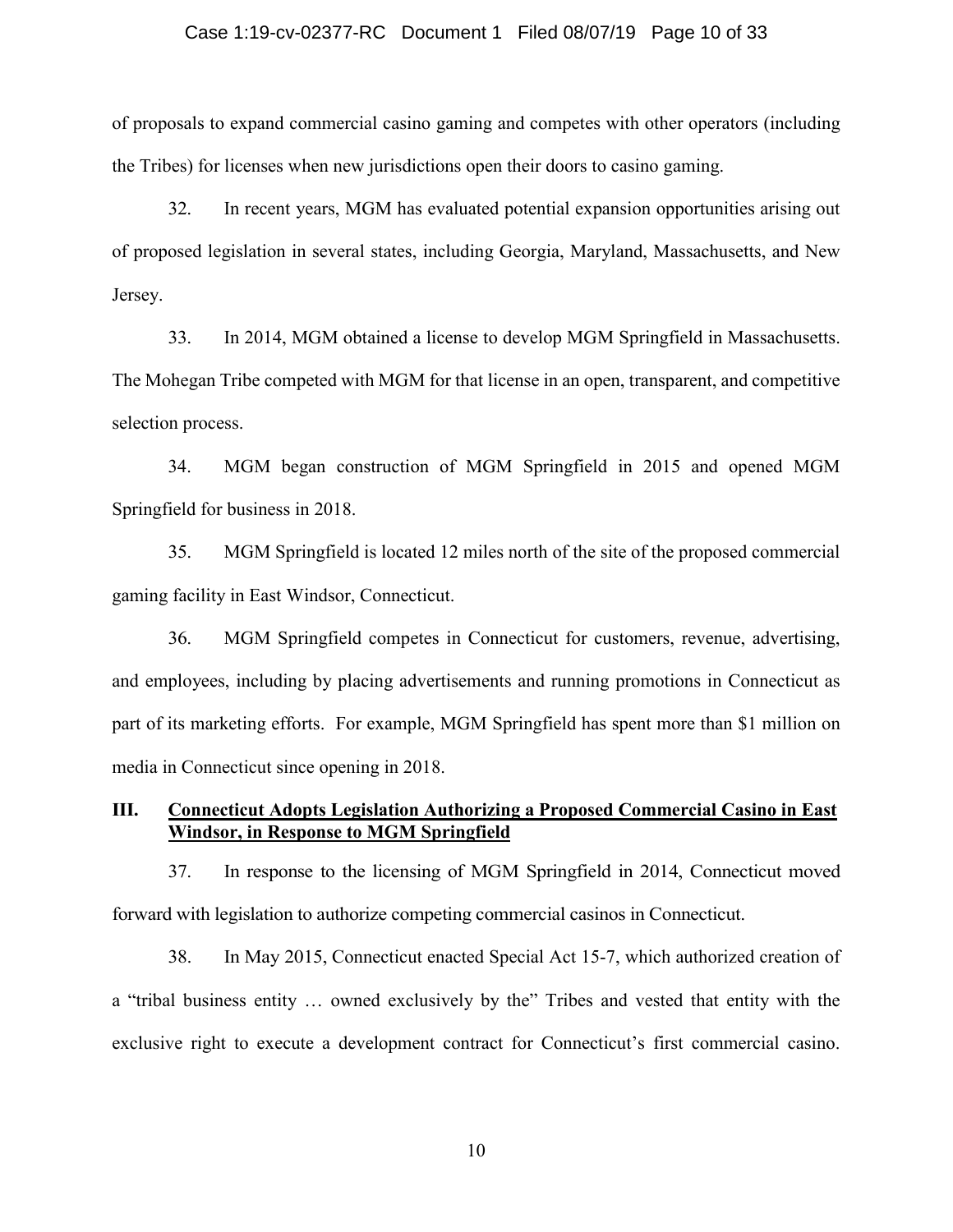# Case 1:19-cv-02377-RC Document 1 Filed 08/07/19 Page 10 of 33

of proposals to expand commercial casino gaming and competes with other operators (including the Tribes) for licenses when new jurisdictions open their doors to casino gaming.

32. In recent years, MGM has evaluated potential expansion opportunities arising out of proposed legislation in several states, including Georgia, Maryland, Massachusetts, and New Jersey.

33. In 2014, MGM obtained a license to develop MGM Springfield in Massachusetts. The Mohegan Tribe competed with MGM for that license in an open, transparent, and competitive selection process.

34. MGM began construction of MGM Springfield in 2015 and opened MGM Springfield for business in 2018.

35. MGM Springfield is located 12 miles north of the site of the proposed commercial gaming facility in East Windsor, Connecticut.

36. MGM Springfield competes in Connecticut for customers, revenue, advertising, and employees, including by placing advertisements and running promotions in Connecticut as part of its marketing efforts. For example, MGM Springfield has spent more than \$1 million on media in Connecticut since opening in 2018.

# **III. Connecticut Adopts Legislation Authorizing a Proposed Commercial Casino in East Windsor, in Response to MGM Springfield**

37. In response to the licensing of MGM Springfield in 2014, Connecticut moved forward with legislation to authorize competing commercial casinos in Connecticut.

38. In May 2015, Connecticut enacted Special Act 15-7, which authorized creation of a "tribal business entity … owned exclusively by the" Tribes and vested that entity with the exclusive right to execute a development contract for Connecticut's first commercial casino.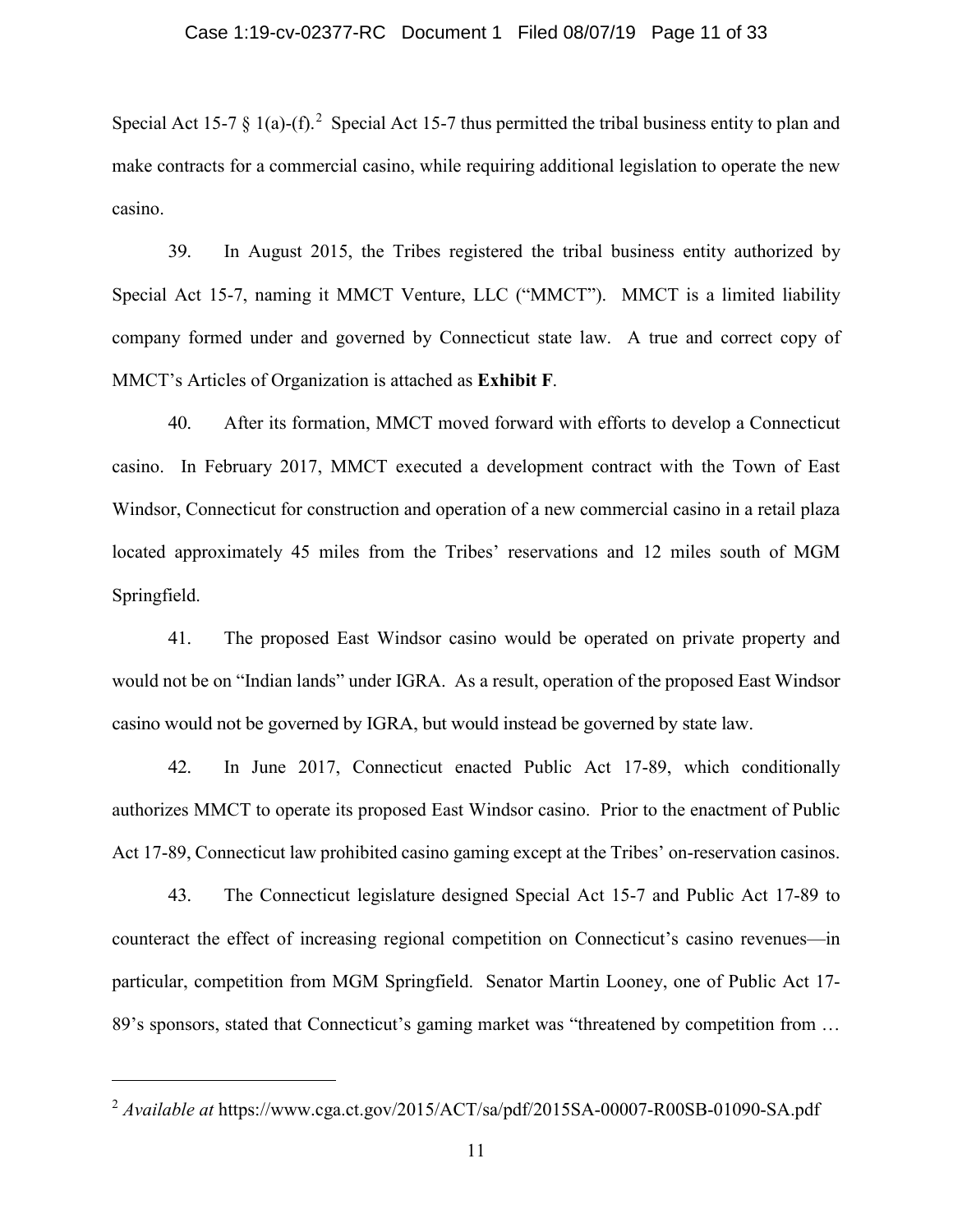Special Act 15-7 § 1(a)-(f).<sup>2</sup> Special Act 15-7 thus permitted the tribal business entity to plan and make contracts for a commercial casino, while requiring additional legislation to operate the new casino.

39. In August 2015, the Tribes registered the tribal business entity authorized by Special Act 15-7, naming it MMCT Venture, LLC ("MMCT"). MMCT is a limited liability company formed under and governed by Connecticut state law. A true and correct copy of MMCT's Articles of Organization is attached as **Exhibit F**.

40. After its formation, MMCT moved forward with efforts to develop a Connecticut casino. In February 2017, MMCT executed a development contract with the Town of East Windsor, Connecticut for construction and operation of a new commercial casino in a retail plaza located approximately 45 miles from the Tribes' reservations and 12 miles south of MGM Springfield.

41. The proposed East Windsor casino would be operated on private property and would not be on "Indian lands" under IGRA. As a result, operation of the proposed East Windsor casino would not be governed by IGRA, but would instead be governed by state law.

42. In June 2017, Connecticut enacted Public Act 17-89, which conditionally authorizes MMCT to operate its proposed East Windsor casino. Prior to the enactment of Public Act 17-89, Connecticut law prohibited casino gaming except at the Tribes' on-reservation casinos.

43. The Connecticut legislature designed Special Act 15-7 and Public Act 17-89 to counteract the effect of increasing regional competition on Connecticut's casino revenues—in particular, competition from MGM Springfield. Senator Martin Looney, one of Public Act 17- 89's sponsors, stated that Connecticut's gaming market was "threatened by competition from ...

<sup>&</sup>lt;sup>2</sup> *Available at https://www.cga.ct.gov/2015/ACT/sa/pdf/2015SA-00007-R00SB-01090-SA.pdf*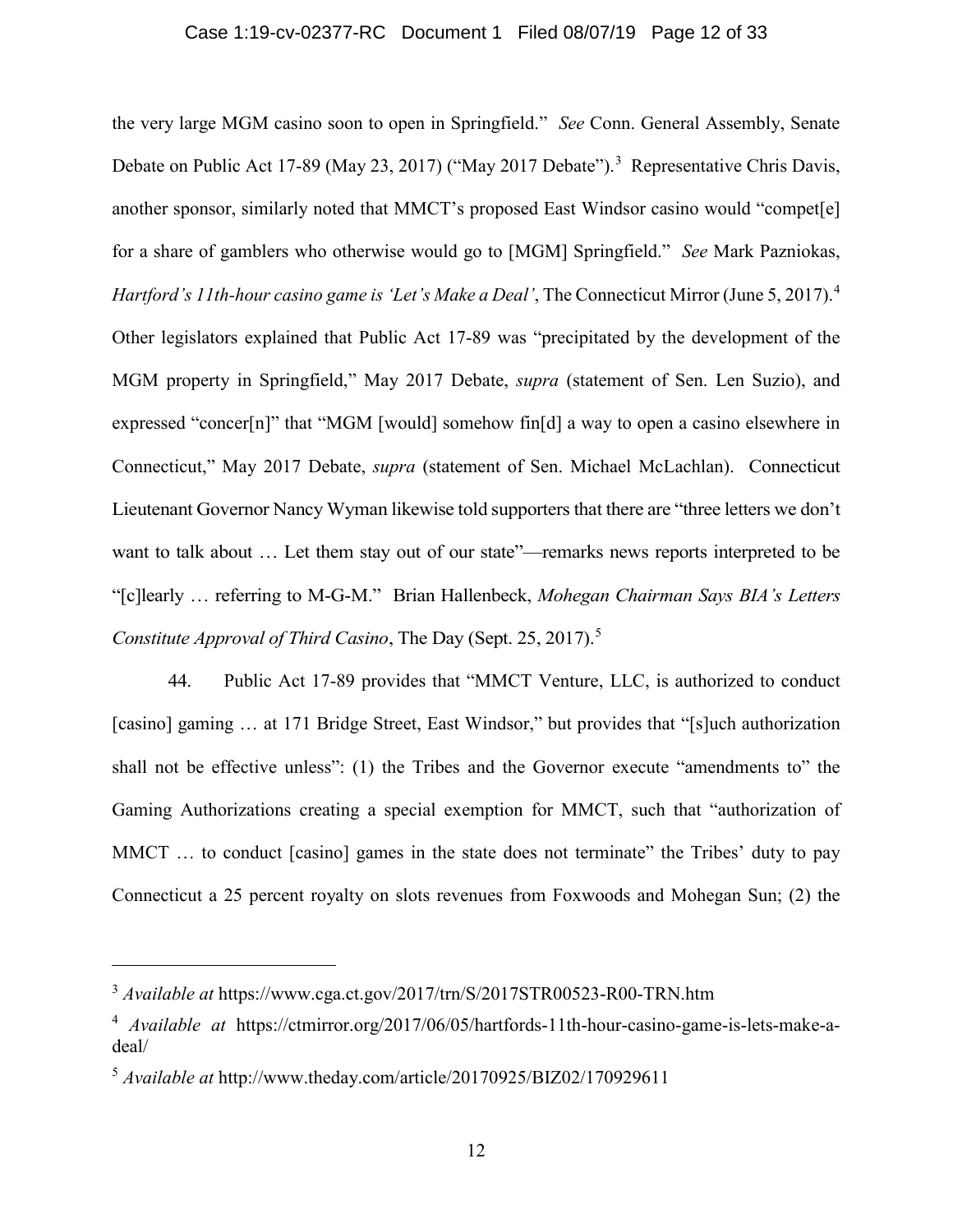# Case 1:19-cv-02377-RC Document 1 Filed 08/07/19 Page 12 of 33

the very large MGM casino soon to open in Springfield." *See* Conn. General Assembly, Senate Debate on Public Act 17-89 (May 23, 2017) ("May 2017 Debate").<sup>3</sup> Representative Chris Davis, another sponsor, similarly noted that MMCT's proposed East Windsor casino would "compet[e] for a share of gamblers who otherwise would go to [MGM] Springfield." *See* Mark Pazniokas, *Hartford's 11th-hour casino game is 'Let's Make a Deal'*, The Connecticut Mirror (June 5, 2017).<sup>4</sup> Other legislators explained that Public Act 17-89 was "precipitated by the development of the MGM property in Springfield," May 2017 Debate, *supra* (statement of Sen. Len Suzio), and expressed "concer[n]" that "MGM [would] somehow fin[d] a way to open a casino elsewhere in Connecticut," May 2017 Debate, *supra* (statement of Sen. Michael McLachlan). Connecticut Lieutenant Governor Nancy Wyman likewise told supporters that there are "three letters we don't want to talk about … Let them stay out of our state"—remarks news reports interpreted to be "[c]learly … referring to M-G-M." Brian Hallenbeck, *Mohegan Chairman Says BIA's Letters Constitute Approval of Third Casino*, The Day (Sept. 25, 2017).<sup>5</sup>

44. Public Act 17-89 provides that "MMCT Venture, LLC, is authorized to conduct [casino] gaming ... at 171 Bridge Street, East Windsor," but provides that "[s]uch authorization shall not be effective unless": (1) the Tribes and the Governor execute "amendments to" the Gaming Authorizations creating a special exemption for MMCT, such that "authorization of MMCT ... to conduct [casino] games in the state does not terminate" the Tribes' duty to pay Connecticut a 25 percent royalty on slots revenues from Foxwoods and Mohegan Sun; (2) the

<sup>3</sup> *Available at* https://www.cga.ct.gov/2017/trn/S/2017STR00523-R00-TRN.htm

<sup>4</sup> *Available at* https://ctmirror.org/2017/06/05/hartfords-11th-hour-casino-game-is-lets-make-adeal/

<sup>5</sup> *Available at* http://www.theday.com/article/20170925/BIZ02/170929611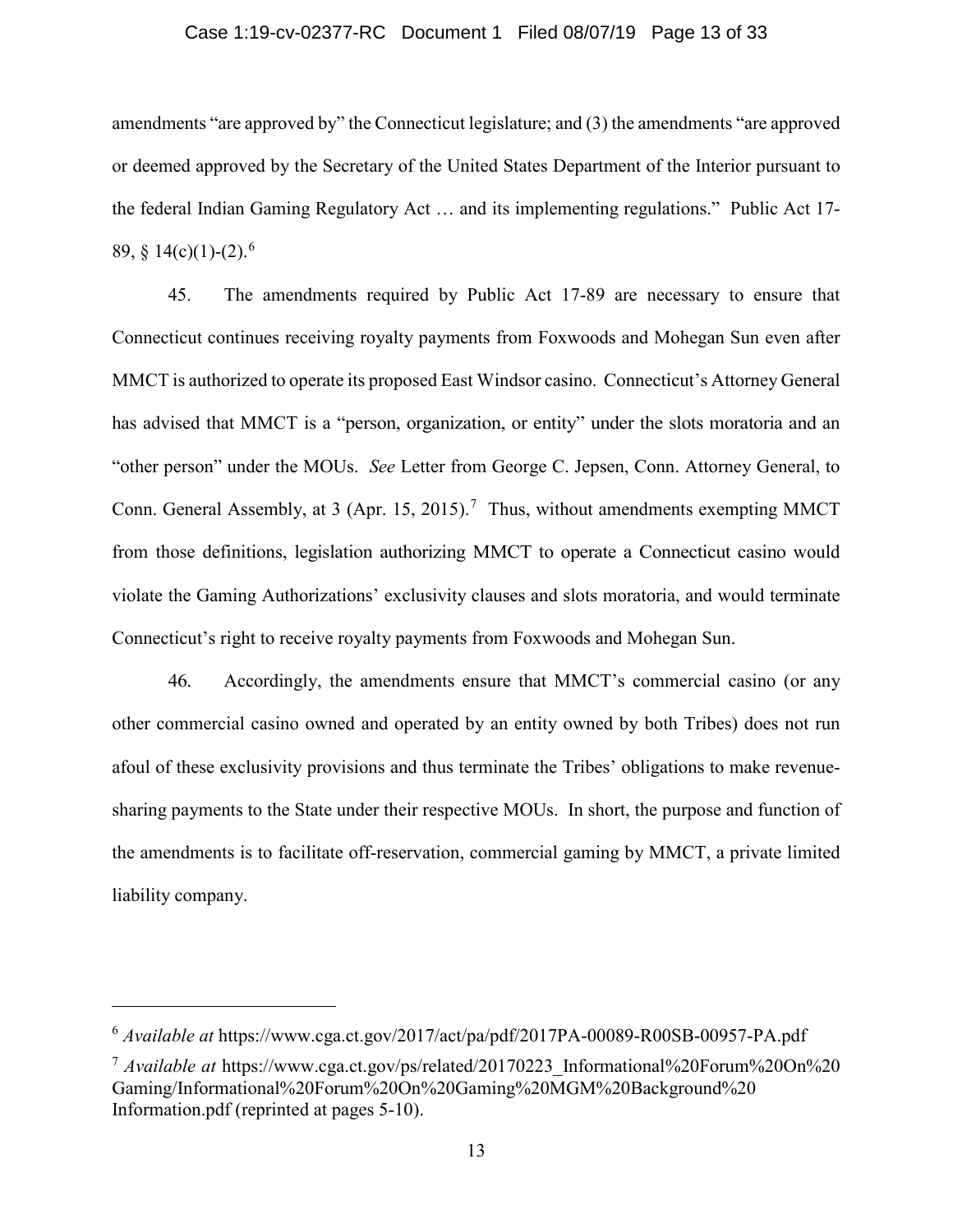# Case 1:19-cv-02377-RC Document 1 Filed 08/07/19 Page 13 of 33

amendments "are approved by" the Connecticut legislature; and (3) the amendments "are approved or deemed approved by the Secretary of the United States Department of the Interior pursuant to the federal Indian Gaming Regulatory Act … and its implementing regulations." Public Act 17- 89,  $§$  14(c)(1)-(2).<sup>6</sup>

45. The amendments required by Public Act 17-89 are necessary to ensure that Connecticut continues receiving royalty payments from Foxwoods and Mohegan Sun even after MMCT is authorized to operate its proposed East Windsor casino. Connecticut's Attorney General has advised that MMCT is a "person, organization, or entity" under the slots moratoria and an "other person" under the MOUs. *See* Letter from George C. Jepsen, Conn. Attorney General, to Conn. General Assembly, at 3 (Apr. 15, 2015).<sup>7</sup> Thus, without amendments exempting MMCT from those definitions, legislation authorizing MMCT to operate a Connecticut casino would violate the Gaming Authorizations' exclusivity clauses and slots moratoria, and would terminate Connecticut's right to receive royalty payments from Foxwoods and Mohegan Sun.

46. Accordingly, the amendments ensure that MMCT's commercial casino (or any other commercial casino owned and operated by an entity owned by both Tribes) does not run afoul of these exclusivity provisions and thus terminate the Tribes' obligations to make revenuesharing payments to the State under their respective MOUs. In short, the purpose and function of the amendments is to facilitate off-reservation, commercial gaming by MMCT, a private limited liability company.

<sup>6</sup> *Available at* https://www.cga.ct.gov/2017/act/pa/pdf/2017PA-00089-R00SB-00957-PA.pdf

<sup>7</sup> *Available at* https://www.cga.ct.gov/ps/related/20170223\_Informational%20Forum%20On%20 Gaming/Informational%20Forum%20On%20Gaming%20MGM%20Background%20 Information.pdf (reprinted at pages 5-10).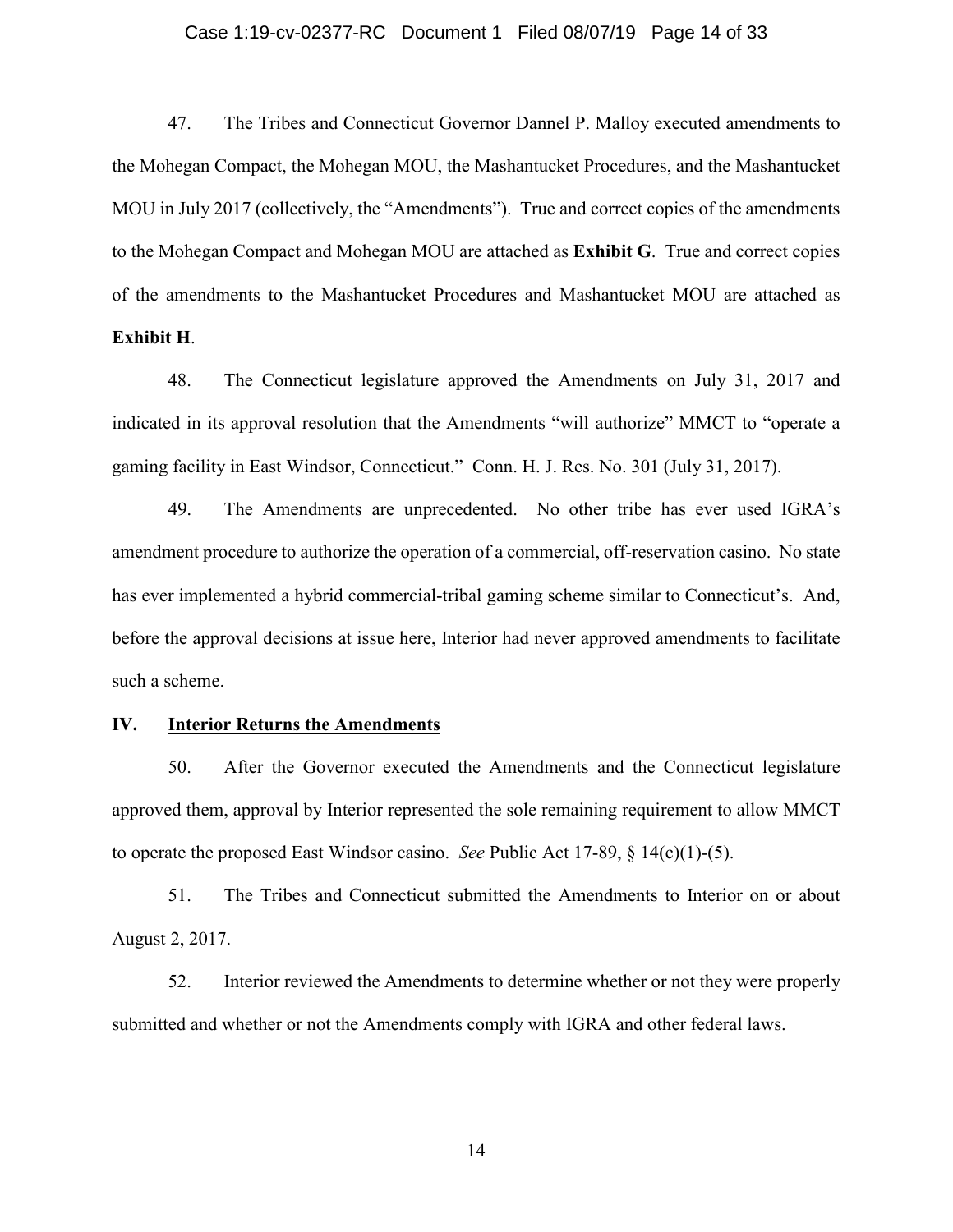# Case 1:19-cv-02377-RC Document 1 Filed 08/07/19 Page 14 of 33

47. The Tribes and Connecticut Governor Dannel P. Malloy executed amendments to the Mohegan Compact, the Mohegan MOU, the Mashantucket Procedures, and the Mashantucket MOU in July 2017 (collectively, the "Amendments"). True and correct copies of the amendments to the Mohegan Compact and Mohegan MOU are attached as **Exhibit G**. True and correct copies of the amendments to the Mashantucket Procedures and Mashantucket MOU are attached as **Exhibit H**.

48. The Connecticut legislature approved the Amendments on July 31, 2017 and indicated in its approval resolution that the Amendments "will authorize" MMCT to "operate a gaming facility in East Windsor, Connecticut." Conn. H. J. Res. No. 301 (July 31, 2017).

49. The Amendments are unprecedented. No other tribe has ever used IGRA's amendment procedure to authorize the operation of a commercial, off-reservation casino. No state has ever implemented a hybrid commercial-tribal gaming scheme similar to Connecticut's. And, before the approval decisions at issue here, Interior had never approved amendments to facilitate such a scheme.

# **IV. Interior Returns the Amendments**

50. After the Governor executed the Amendments and the Connecticut legislature approved them, approval by Interior represented the sole remaining requirement to allow MMCT to operate the proposed East Windsor casino. *See* Public Act 17-89, § 14(c)(1)-(5).

51. The Tribes and Connecticut submitted the Amendments to Interior on or about August 2, 2017.

52. Interior reviewed the Amendments to determine whether or not they were properly submitted and whether or not the Amendments comply with IGRA and other federal laws.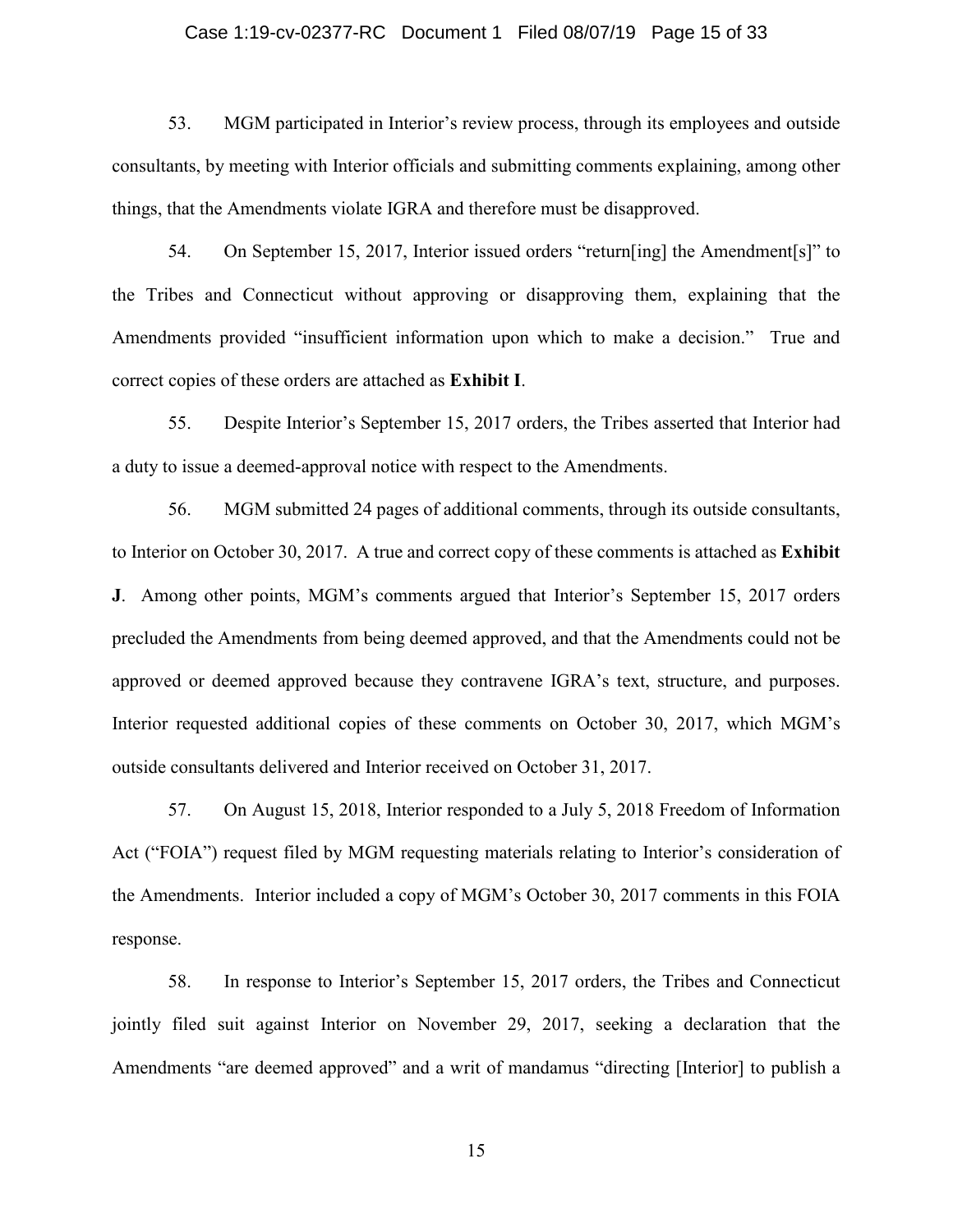# Case 1:19-cv-02377-RC Document 1 Filed 08/07/19 Page 15 of 33

53. MGM participated in Interior's review process, through its employees and outside consultants, by meeting with Interior officials and submitting comments explaining, among other things, that the Amendments violate IGRA and therefore must be disapproved.

54. On September 15, 2017, Interior issued orders "return[ing] the Amendment[s]" to the Tribes and Connecticut without approving or disapproving them, explaining that the Amendments provided "insufficient information upon which to make a decision." True and correct copies of these orders are attached as **Exhibit I**.

55. Despite Interior's September 15, 2017 orders, the Tribes asserted that Interior had a duty to issue a deemed-approval notice with respect to the Amendments.

56. MGM submitted 24 pages of additional comments, through its outside consultants, to Interior on October 30, 2017. A true and correct copy of these comments is attached as **Exhibit J**. Among other points, MGM's comments argued that Interior's September 15, 2017 orders precluded the Amendments from being deemed approved, and that the Amendments could not be approved or deemed approved because they contravene IGRA's text, structure, and purposes. Interior requested additional copies of these comments on October 30, 2017, which MGM's outside consultants delivered and Interior received on October 31, 2017.

57. On August 15, 2018, Interior responded to a July 5, 2018 Freedom of Information Act ("FOIA") request filed by MGM requesting materials relating to Interior's consideration of the Amendments. Interior included a copy of MGM's October 30, 2017 comments in this FOIA response.

58. In response to Interior's September 15, 2017 orders, the Tribes and Connecticut jointly filed suit against Interior on November 29, 2017, seeking a declaration that the Amendments "are deemed approved" and a writ of mandamus "directing [Interior] to publish a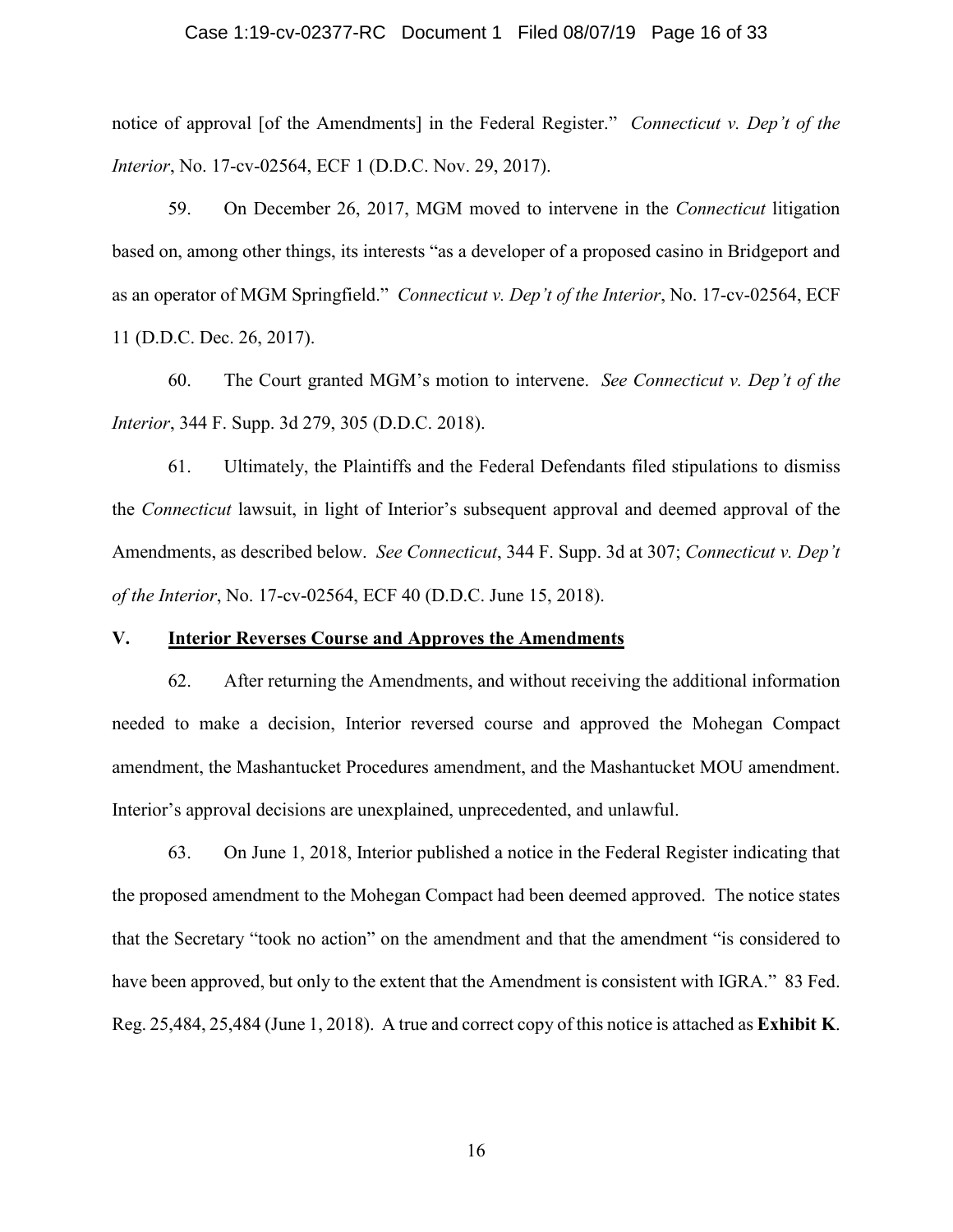# Case 1:19-cv-02377-RC Document 1 Filed 08/07/19 Page 16 of 33

notice of approval [of the Amendments] in the Federal Register." *Connecticut v. Dep't of the Interior*, No. 17-cv-02564, ECF 1 (D.D.C. Nov. 29, 2017).

59. On December 26, 2017, MGM moved to intervene in the *Connecticut* litigation based on, among other things, its interests "as a developer of a proposed casino in Bridgeport and as an operator of MGM Springfield." *Connecticut v. Dep't of the Interior*, No. 17-cv-02564, ECF 11 (D.D.C. Dec. 26, 2017).

60. The Court granted MGM's motion to intervene. *See Connecticut v. Dep't of the Interior*, 344 F. Supp. 3d 279, 305 (D.D.C. 2018).

61. Ultimately, the Plaintiffs and the Federal Defendants filed stipulations to dismiss the *Connecticut* lawsuit, in light of Interior's subsequent approval and deemed approval of the Amendments, as described below. *See Connecticut*, 344 F. Supp. 3d at 307; *Connecticut v. Dep't of the Interior*, No. 17-cv-02564, ECF 40 (D.D.C. June 15, 2018).

# **V. Interior Reverses Course and Approves the Amendments**

62. After returning the Amendments, and without receiving the additional information needed to make a decision, Interior reversed course and approved the Mohegan Compact amendment, the Mashantucket Procedures amendment, and the Mashantucket MOU amendment. Interior's approval decisions are unexplained, unprecedented, and unlawful.

63. On June 1, 2018, Interior published a notice in the Federal Register indicating that the proposed amendment to the Mohegan Compact had been deemed approved. The notice states that the Secretary "took no action" on the amendment and that the amendment "is considered to have been approved, but only to the extent that the Amendment is consistent with IGRA." 83 Fed. Reg. 25,484, 25,484 (June 1, 2018). A true and correct copy of this notice is attached as **Exhibit K**.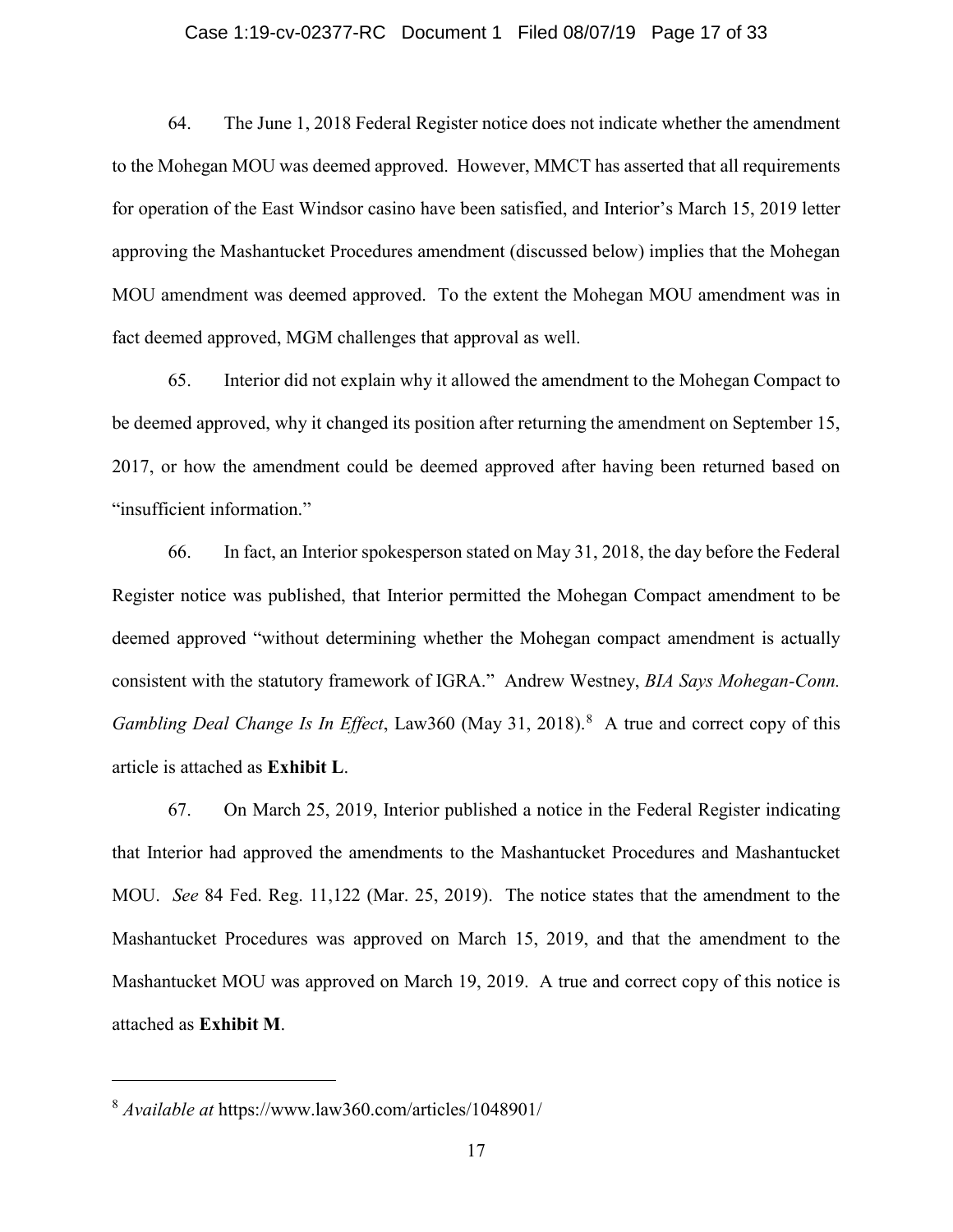#### Case 1:19-cv-02377-RC Document 1 Filed 08/07/19 Page 17 of 33

64. The June 1, 2018 Federal Register notice does not indicate whether the amendment to the Mohegan MOU was deemed approved. However, MMCT has asserted that all requirements for operation of the East Windsor casino have been satisfied, and Interior's March 15, 2019 letter approving the Mashantucket Procedures amendment (discussed below) implies that the Mohegan MOU amendment was deemed approved. To the extent the Mohegan MOU amendment was in fact deemed approved, MGM challenges that approval as well.

65. Interior did not explain why it allowed the amendment to the Mohegan Compact to be deemed approved, why it changed its position after returning the amendment on September 15, 2017, or how the amendment could be deemed approved after having been returned based on "insufficient information."

66. In fact, an Interior spokesperson stated on May 31, 2018, the day before the Federal Register notice was published, that Interior permitted the Mohegan Compact amendment to be deemed approved "without determining whether the Mohegan compact amendment is actually consistent with the statutory framework of IGRA." Andrew Westney, *BIA Says Mohegan-Conn. Gambling Deal Change Is In Effect*, Law360 (May 31, 2018). 8 A true and correct copy of this article is attached as **Exhibit L**.

67. On March 25, 2019, Interior published a notice in the Federal Register indicating that Interior had approved the amendments to the Mashantucket Procedures and Mashantucket MOU. *See* 84 Fed. Reg. 11,122 (Mar. 25, 2019). The notice states that the amendment to the Mashantucket Procedures was approved on March 15, 2019, and that the amendment to the Mashantucket MOU was approved on March 19, 2019. A true and correct copy of this notice is attached as **Exhibit M**.

<sup>8</sup> *Available at* https://www.law360.com/articles/1048901/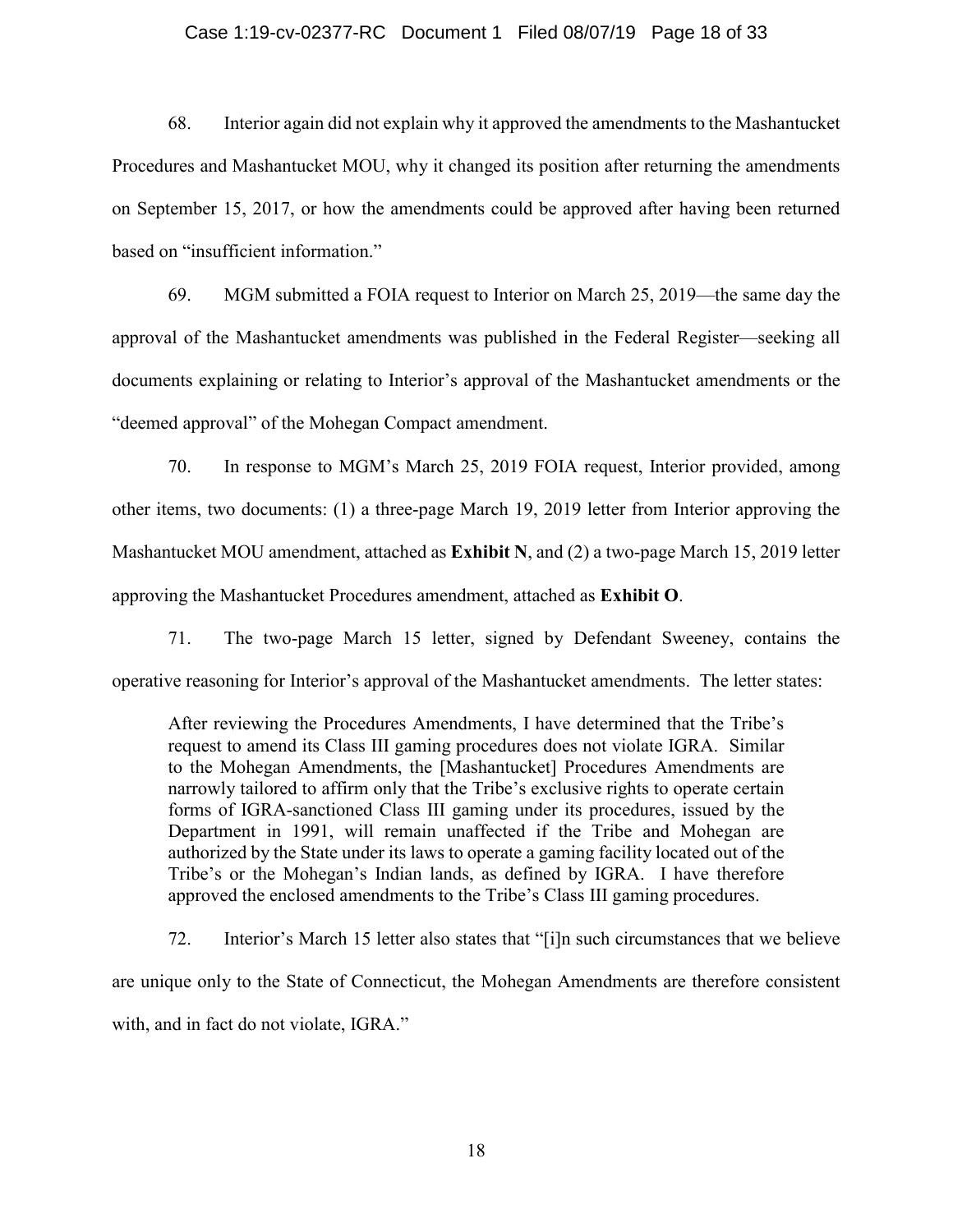#### Case 1:19-cv-02377-RC Document 1 Filed 08/07/19 Page 18 of 33

68. Interior again did not explain why it approved the amendments to the Mashantucket Procedures and Mashantucket MOU, why it changed its position after returning the amendments on September 15, 2017, or how the amendments could be approved after having been returned based on "insufficient information."

69. MGM submitted a FOIA request to Interior on March 25, 2019—the same day the approval of the Mashantucket amendments was published in the Federal Register—seeking all documents explaining or relating to Interior's approval of the Mashantucket amendments or the "deemed approval" of the Mohegan Compact amendment.

70. In response to MGM's March 25, 2019 FOIA request, Interior provided, among other items, two documents: (1) a three-page March 19, 2019 letter from Interior approving the Mashantucket MOU amendment, attached as **Exhibit N**, and (2) a two-page March 15, 2019 letter approving the Mashantucket Procedures amendment, attached as **Exhibit O**.

71. The two-page March 15 letter, signed by Defendant Sweeney, contains the operative reasoning for Interior's approval of the Mashantucket amendments. The letter states:

After reviewing the Procedures Amendments, I have determined that the Tribe's request to amend its Class III gaming procedures does not violate IGRA. Similar to the Mohegan Amendments, the [Mashantucket] Procedures Amendments are narrowly tailored to affirm only that the Tribe's exclusive rights to operate certain forms of IGRA-sanctioned Class III gaming under its procedures, issued by the Department in 1991, will remain unaffected if the Tribe and Mohegan are authorized by the State under its laws to operate a gaming facility located out of the Tribe's or the Mohegan's Indian lands, as defined by IGRA. I have therefore approved the enclosed amendments to the Tribe's Class III gaming procedures.

72. Interior's March 15 letter also states that "[i]n such circumstances that we believe are unique only to the State of Connecticut, the Mohegan Amendments are therefore consistent with, and in fact do not violate, IGRA."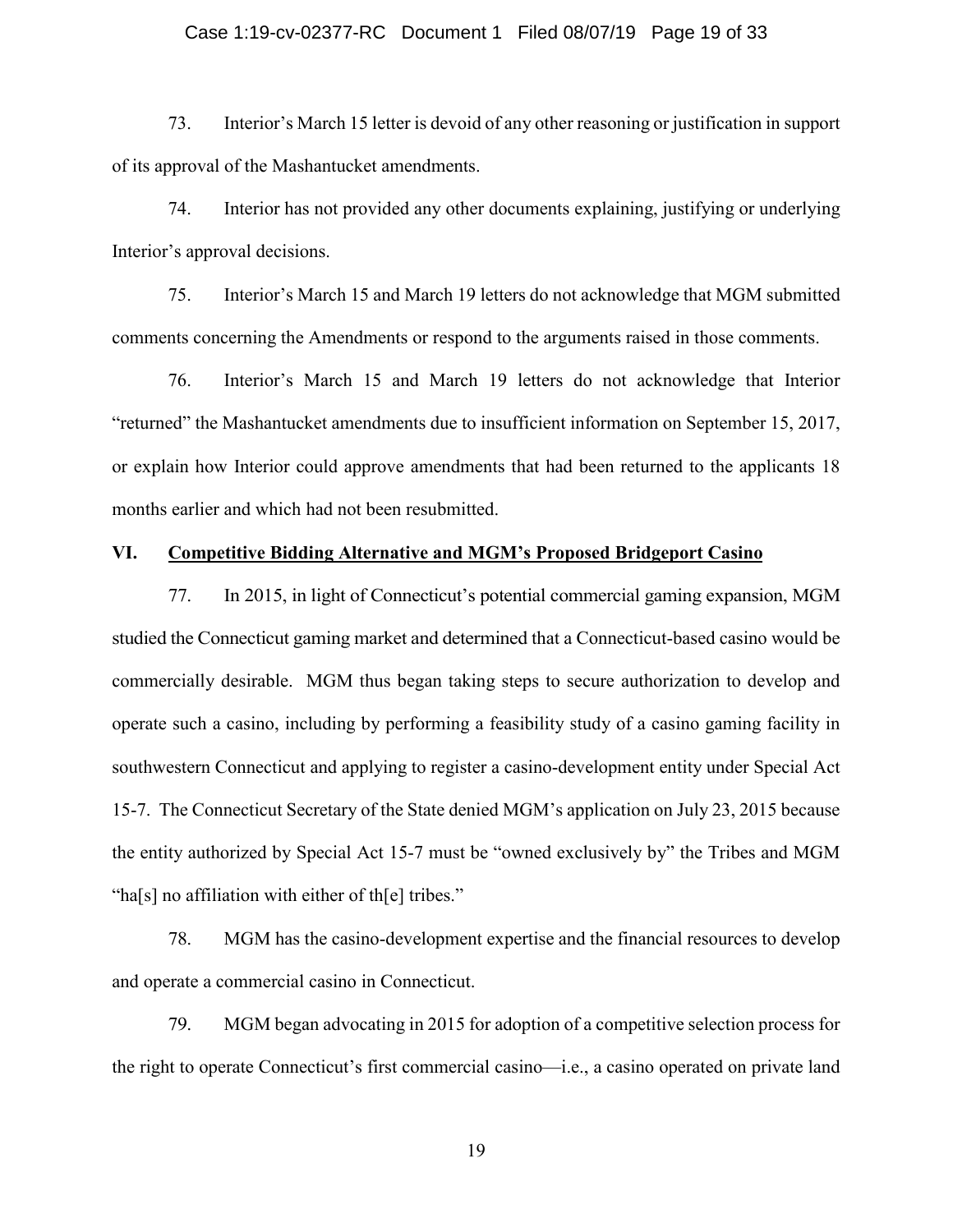# Case 1:19-cv-02377-RC Document 1 Filed 08/07/19 Page 19 of 33

73. Interior's March 15 letter is devoid of any other reasoning or justification in support of its approval of the Mashantucket amendments.

74. Interior has not provided any other documents explaining, justifying or underlying Interior's approval decisions.

75. Interior's March 15 and March 19 letters do not acknowledge that MGM submitted comments concerning the Amendments or respond to the arguments raised in those comments.

76. Interior's March 15 and March 19 letters do not acknowledge that Interior "returned" the Mashantucket amendments due to insufficient information on September 15, 2017, or explain how Interior could approve amendments that had been returned to the applicants 18 months earlier and which had not been resubmitted.

# **VI. Competitive Bidding Alternative and MGM's Proposed Bridgeport Casino**

77. In 2015, in light of Connecticut's potential commercial gaming expansion, MGM studied the Connecticut gaming market and determined that a Connecticut-based casino would be commercially desirable. MGM thus began taking steps to secure authorization to develop and operate such a casino, including by performing a feasibility study of a casino gaming facility in southwestern Connecticut and applying to register a casino-development entity under Special Act 15-7. The Connecticut Secretary of the State denied MGM's application on July 23, 2015 because the entity authorized by Special Act 15-7 must be "owned exclusively by" the Tribes and MGM "ha[s] no affiliation with either of th[e] tribes."

78. MGM has the casino-development expertise and the financial resources to develop and operate a commercial casino in Connecticut.

79. MGM began advocating in 2015 for adoption of a competitive selection process for the right to operate Connecticut's first commercial casino—i.e., a casino operated on private land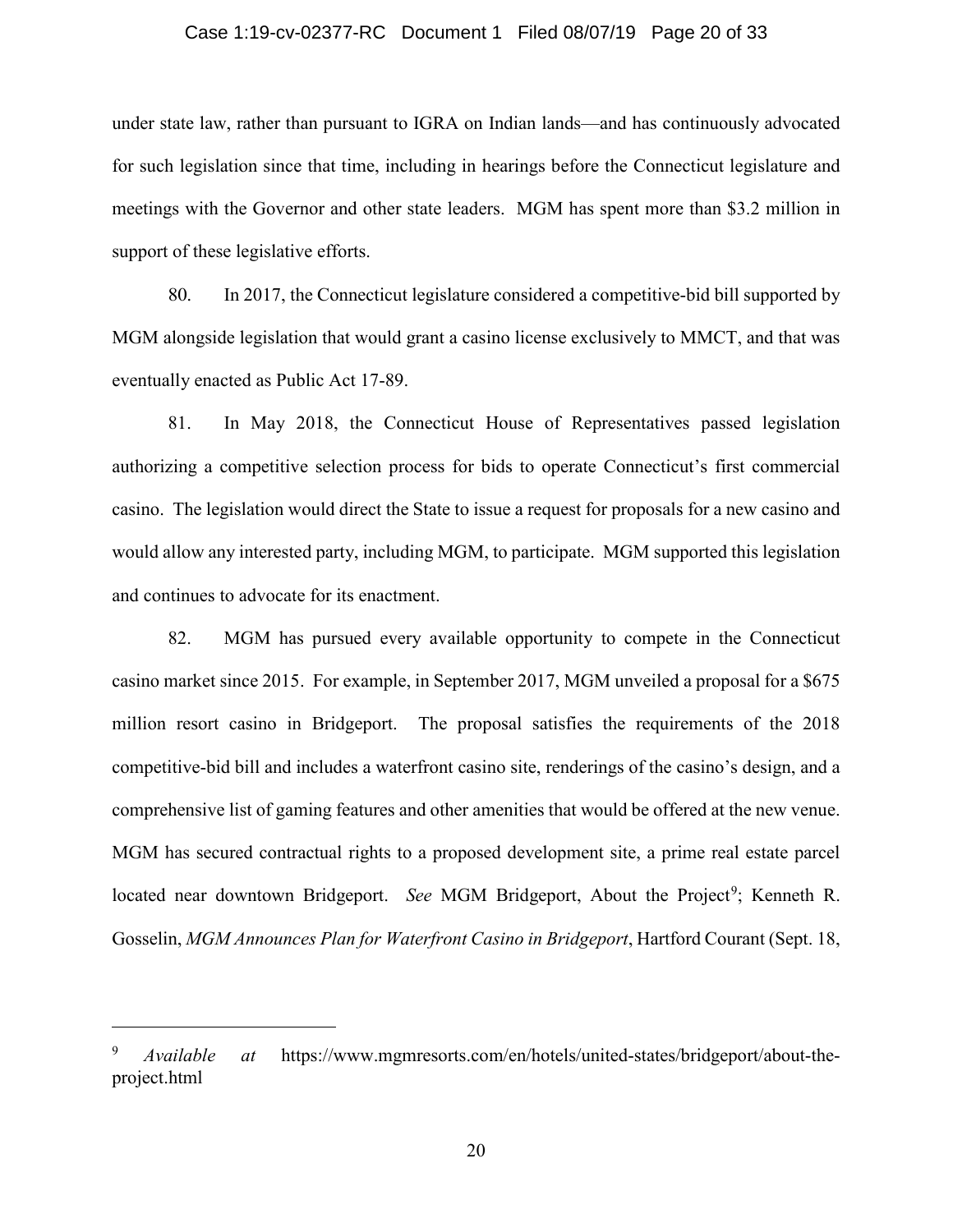#### Case 1:19-cv-02377-RC Document 1 Filed 08/07/19 Page 20 of 33

under state law, rather than pursuant to IGRA on Indian lands—and has continuously advocated for such legislation since that time, including in hearings before the Connecticut legislature and meetings with the Governor and other state leaders. MGM has spent more than \$3.2 million in support of these legislative efforts.

80. In 2017, the Connecticut legislature considered a competitive-bid bill supported by MGM alongside legislation that would grant a casino license exclusively to MMCT, and that was eventually enacted as Public Act 17-89.

81. In May 2018, the Connecticut House of Representatives passed legislation authorizing a competitive selection process for bids to operate Connecticut's first commercial casino. The legislation would direct the State to issue a request for proposals for a new casino and would allow any interested party, including MGM, to participate. MGM supported this legislation and continues to advocate for its enactment.

82. MGM has pursued every available opportunity to compete in the Connecticut casino market since 2015. For example, in September 2017, MGM unveiled a proposal for a \$675 million resort casino in Bridgeport. The proposal satisfies the requirements of the 2018 competitive-bid bill and includes a waterfront casino site, renderings of the casino's design, and a comprehensive list of gaming features and other amenities that would be offered at the new venue. MGM has secured contractual rights to a proposed development site, a prime real estate parcel located near downtown Bridgeport. See MGM Bridgeport, About the Project<sup>9</sup>; Kenneth R. Gosselin, *MGM Announces Plan for Waterfront Casino in Bridgeport*, Hartford Courant (Sept. 18,

<sup>9</sup> *Available at* https://www.mgmresorts.com/en/hotels/united-states/bridgeport/about-theproject.html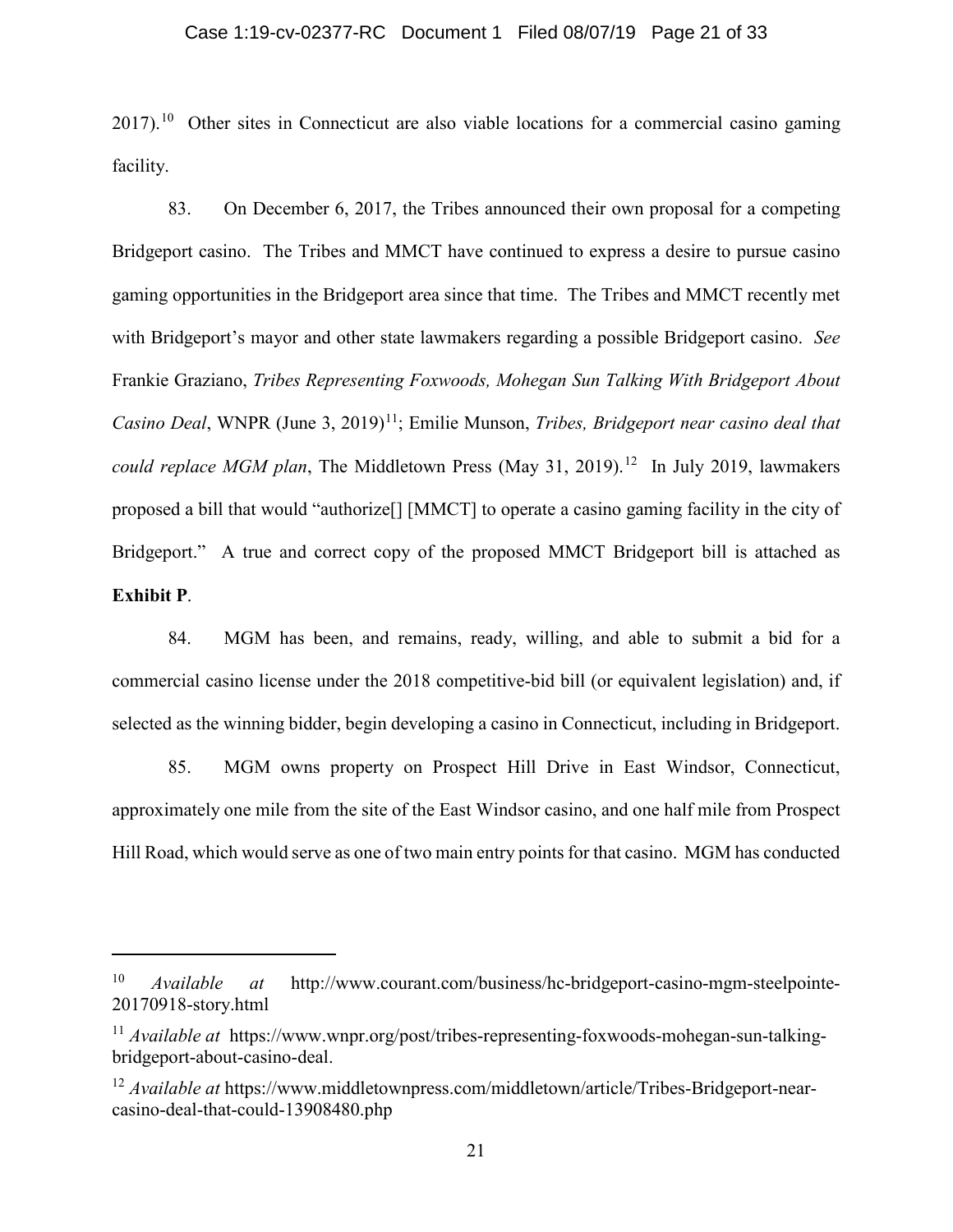2017).<sup>10</sup> Other sites in Connecticut are also viable locations for a commercial casino gaming facility.

83. On December 6, 2017, the Tribes announced their own proposal for a competing Bridgeport casino. The Tribes and MMCT have continued to express a desire to pursue casino gaming opportunities in the Bridgeport area since that time. The Tribes and MMCT recently met with Bridgeport's mayor and other state lawmakers regarding a possible Bridgeport casino. *See* Frankie Graziano, *Tribes Representing Foxwoods, Mohegan Sun Talking With Bridgeport About Casino Deal*, WNPR (June 3, 2019)<sup>11</sup>; Emilie Munson, *Tribes, Bridgeport near casino deal that could replace MGM plan*, The Middletown Press (May 31, 2019). <sup>12</sup> In July 2019, lawmakers proposed a bill that would "authorize[] [MMCT] to operate a casino gaming facility in the city of Bridgeport." A true and correct copy of the proposed MMCT Bridgeport bill is attached as **Exhibit P**.

84. MGM has been, and remains, ready, willing, and able to submit a bid for a commercial casino license under the 2018 competitive-bid bill (or equivalent legislation) and, if selected as the winning bidder, begin developing a casino in Connecticut, including in Bridgeport.

85. MGM owns property on Prospect Hill Drive in East Windsor, Connecticut, approximately one mile from the site of the East Windsor casino, and one half mile from Prospect Hill Road, which would serve as one of two main entry points for that casino. MGM has conducted

<sup>10</sup> *Available at* http://www.courant.com/business/hc-bridgeport-casino-mgm-steelpointe-20170918-story.html

<sup>&</sup>lt;sup>11</sup> *Available at* https://www.wnpr.org/post/tribes-representing-foxwoods-mohegan-sun-talkingbridgeport-about-casino-deal.

<sup>12</sup> *Available at* https://www.middletownpress.com/middletown/article/Tribes-Bridgeport-nearcasino-deal-that-could-13908480.php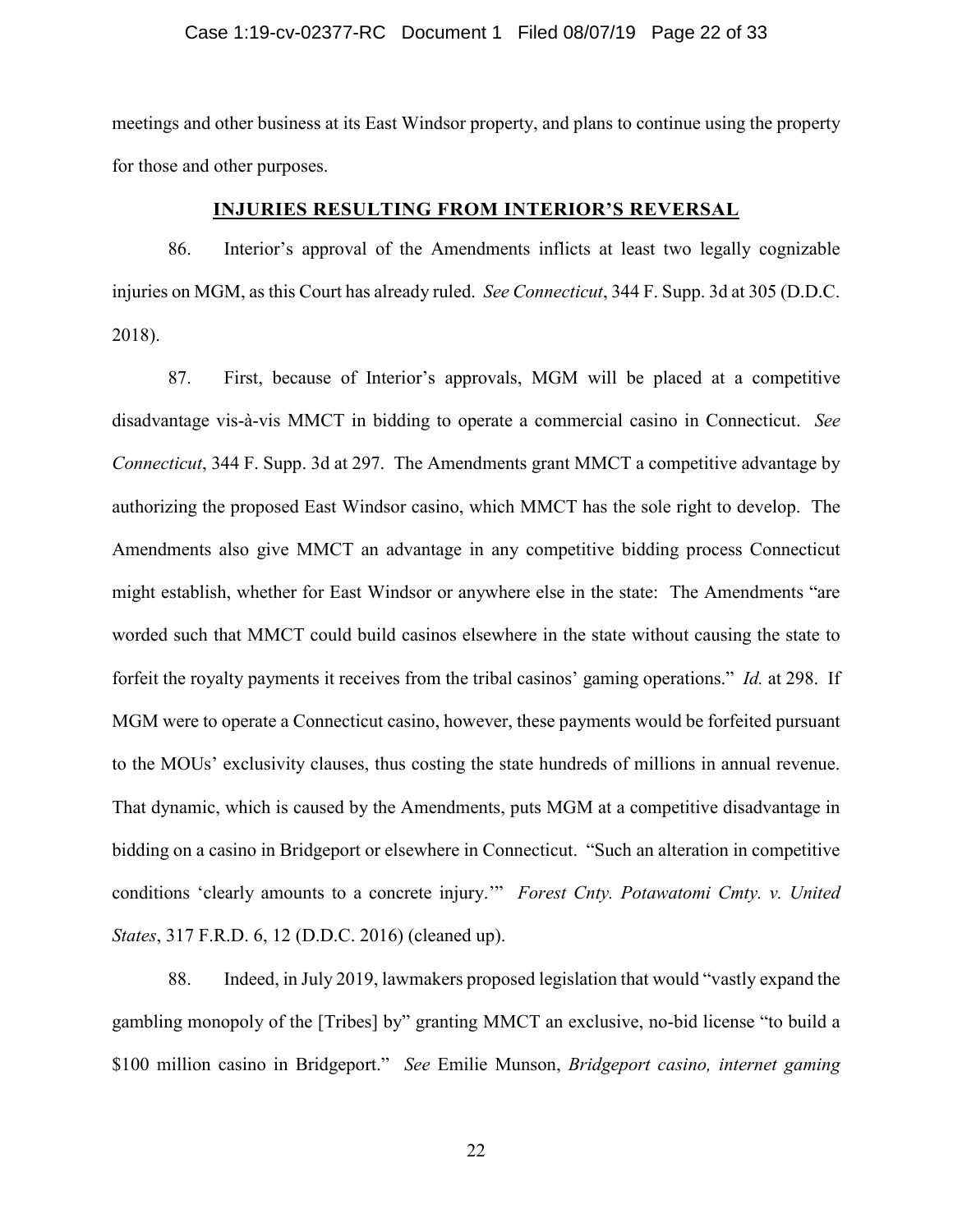# Case 1:19-cv-02377-RC Document 1 Filed 08/07/19 Page 22 of 33

meetings and other business at its East Windsor property, and plans to continue using the property for those and other purposes.

# **INJURIES RESULTING FROM INTERIOR'S REVERSAL**

86. Interior's approval of the Amendments inflicts at least two legally cognizable injuries on MGM, as this Court has already ruled. *See Connecticut*, 344 F. Supp. 3d at 305 (D.D.C. 2018).

87. First, because of Interior's approvals, MGM will be placed at a competitive disadvantage vis-à-vis MMCT in bidding to operate a commercial casino in Connecticut. *See Connecticut*, 344 F. Supp. 3d at 297. The Amendments grant MMCT a competitive advantage by authorizing the proposed East Windsor casino, which MMCT has the sole right to develop. The Amendments also give MMCT an advantage in any competitive bidding process Connecticut might establish, whether for East Windsor or anywhere else in the state: The Amendments "are worded such that MMCT could build casinos elsewhere in the state without causing the state to forfeit the royalty payments it receives from the tribal casinos' gaming operations." *Id.* at 298. If MGM were to operate a Connecticut casino, however, these payments would be forfeited pursuant to the MOUs' exclusivity clauses, thus costing the state hundreds of millions in annual revenue. That dynamic, which is caused by the Amendments, puts MGM at a competitive disadvantage in bidding on a casino in Bridgeport or elsewhere in Connecticut. "Such an alteration in competitive conditions 'clearly amounts to a concrete injury.'" *Forest Cnty. Potawatomi Cmty. v. United States*, 317 F.R.D. 6, 12 (D.D.C. 2016) (cleaned up).

88. Indeed, in July 2019, lawmakers proposed legislation that would "vastly expand the gambling monopoly of the [Tribes] by" granting MMCT an exclusive, no-bid license "to build a \$100 million casino in Bridgeport." *See* Emilie Munson, *Bridgeport casino, internet gaming*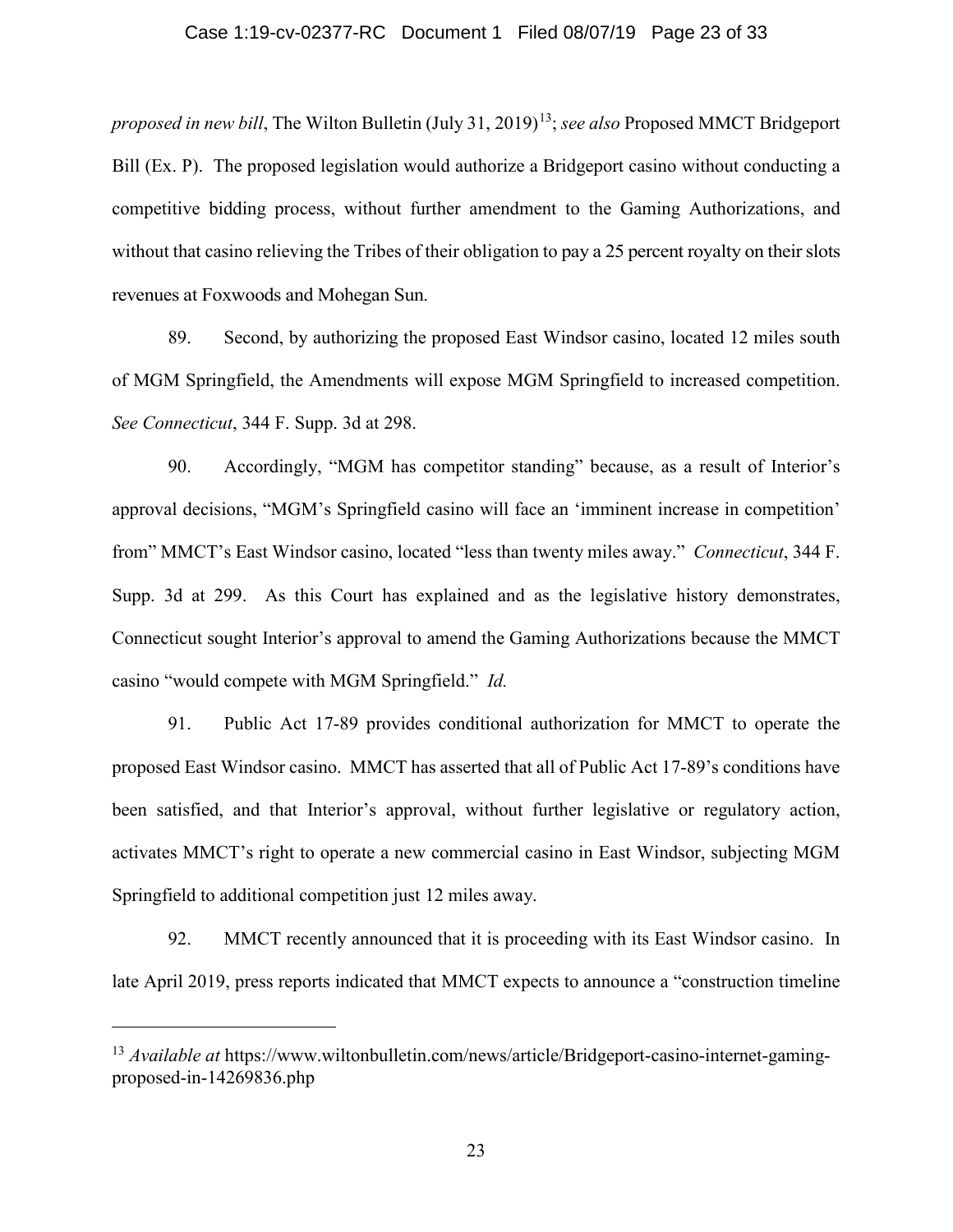# Case 1:19-cv-02377-RC Document 1 Filed 08/07/19 Page 23 of 33

*proposed in new bill*, The Wilton Bulletin (July 31, 2019)<sup>13</sup>; *see also* Proposed MMCT Bridgeport Bill (Ex. P). The proposed legislation would authorize a Bridgeport casino without conducting a competitive bidding process, without further amendment to the Gaming Authorizations, and without that casino relieving the Tribes of their obligation to pay a 25 percent royalty on their slots revenues at Foxwoods and Mohegan Sun.

89. Second, by authorizing the proposed East Windsor casino, located 12 miles south of MGM Springfield, the Amendments will expose MGM Springfield to increased competition. *See Connecticut*, 344 F. Supp. 3d at 298.

90. Accordingly, "MGM has competitor standing" because, as a result of Interior's approval decisions, "MGM's Springfield casino will face an 'imminent increase in competition' from" MMCT's East Windsor casino, located "less than twenty miles away." *Connecticut*, 344 F. Supp. 3d at 299. As this Court has explained and as the legislative history demonstrates, Connecticut sought Interior's approval to amend the Gaming Authorizations because the MMCT casino "would compete with MGM Springfield." *Id.*

91. Public Act 17-89 provides conditional authorization for MMCT to operate the proposed East Windsor casino. MMCT has asserted that all of Public Act 17-89's conditions have been satisfied, and that Interior's approval, without further legislative or regulatory action, activates MMCT's right to operate a new commercial casino in East Windsor, subjecting MGM Springfield to additional competition just 12 miles away.

92. MMCT recently announced that it is proceeding with its East Windsor casino. In late April 2019, press reports indicated that MMCT expects to announce a "construction timeline

<sup>&</sup>lt;sup>13</sup> *Available at* https://www.wiltonbulletin.com/news/article/Bridgeport-casino-internet-gamingproposed-in-14269836.php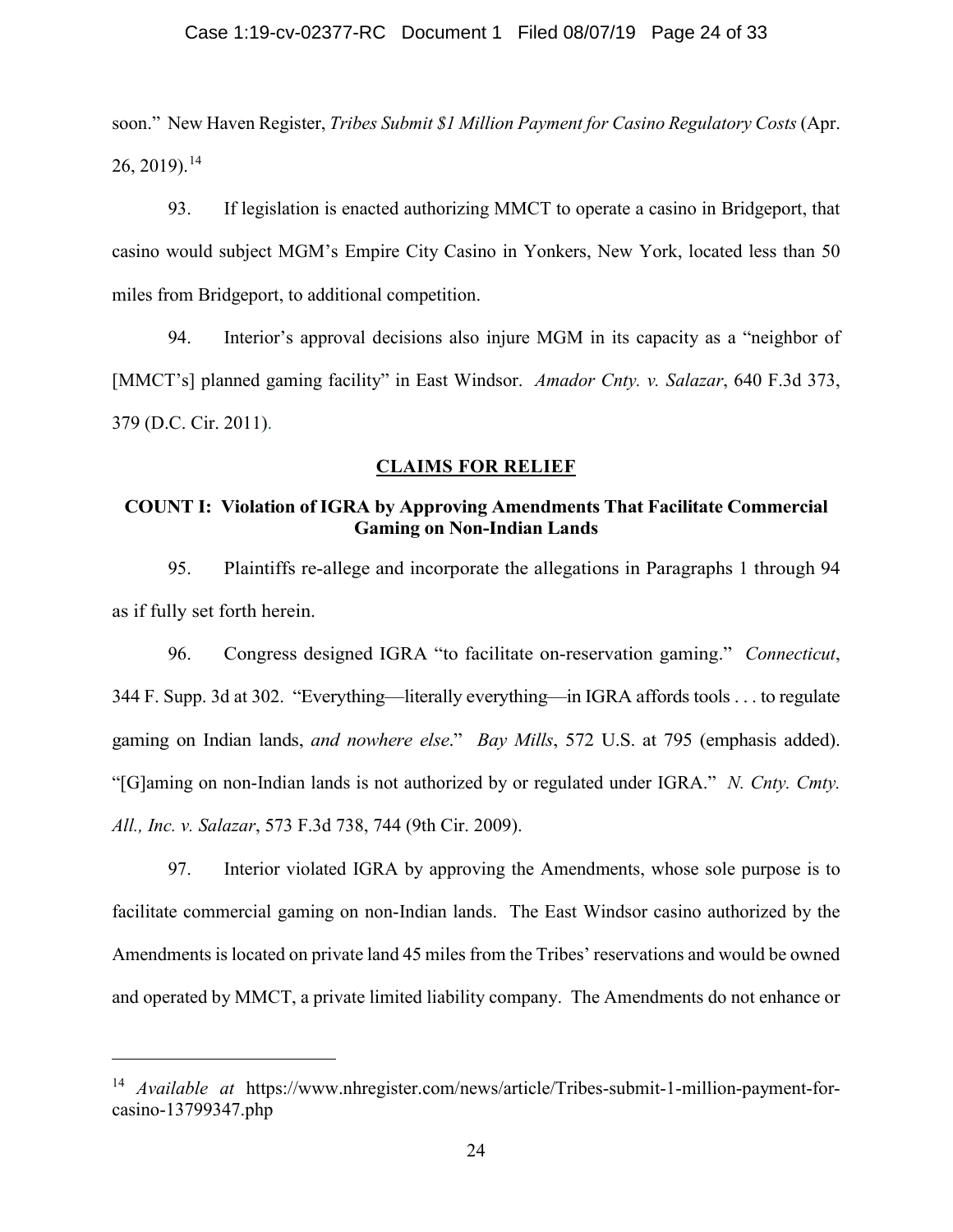soon." New Haven Register, *Tribes Submit \$1 Million Payment for Casino Regulatory Costs* (Apr.  $26, 2019$ ).<sup>14</sup>

93. If legislation is enacted authorizing MMCT to operate a casino in Bridgeport, that casino would subject MGM's Empire City Casino in Yonkers, New York, located less than 50 miles from Bridgeport, to additional competition.

94. Interior's approval decisions also injure MGM in its capacity as a "neighbor of [MMCT's] planned gaming facility" in East Windsor. *Amador Cnty. v. Salazar*, 640 F.3d 373, 379 (D.C. Cir. 2011).

# **CLAIMS FOR RELIEF**

# **COUNT I: Violation of IGRA by Approving Amendments That Facilitate Commercial Gaming on Non-Indian Lands**

95. Plaintiffs re-allege and incorporate the allegations in Paragraphs 1 through 94 as if fully set forth herein.

96. Congress designed IGRA "to facilitate on-reservation gaming." *Connecticut*, 344 F. Supp. 3d at 302. "Everything—literally everything—in IGRA affords tools . . . to regulate gaming on Indian lands, *and nowhere else*." *Bay Mills*, 572 U.S. at 795 (emphasis added). "[G]aming on non-Indian lands is not authorized by or regulated under IGRA." *N. Cnty. Cmty. All., Inc. v. Salazar*, 573 F.3d 738, 744 (9th Cir. 2009).

97. Interior violated IGRA by approving the Amendments, whose sole purpose is to facilitate commercial gaming on non-Indian lands. The East Windsor casino authorized by the Amendments is located on private land 45 miles from the Tribes' reservations and would be owned and operated by MMCT, a private limited liability company. The Amendments do not enhance or

<sup>14</sup> *Available at* https://www.nhregister.com/news/article/Tribes-submit-1-million-payment-forcasino-13799347.php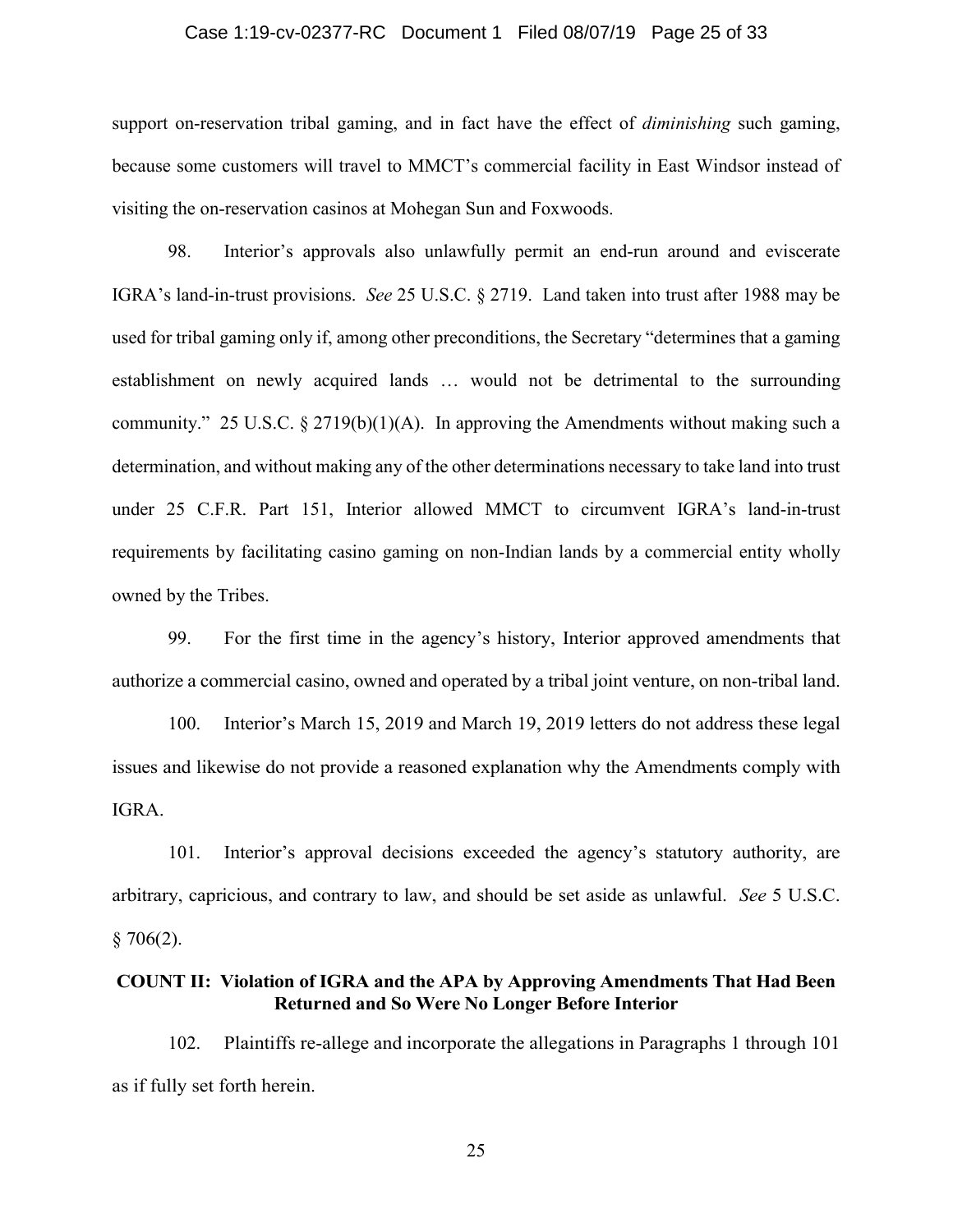# Case 1:19-cv-02377-RC Document 1 Filed 08/07/19 Page 25 of 33

support on-reservation tribal gaming, and in fact have the effect of *diminishing* such gaming, because some customers will travel to MMCT's commercial facility in East Windsor instead of visiting the on-reservation casinos at Mohegan Sun and Foxwoods.

98. Interior's approvals also unlawfully permit an end-run around and eviscerate IGRA's land-in-trust provisions. *See* 25 U.S.C. § 2719. Land taken into trust after 1988 may be used for tribal gaming only if, among other preconditions, the Secretary "determines that a gaming establishment on newly acquired lands … would not be detrimental to the surrounding community." 25 U.S.C.  $\S 2719(b)(1)(A)$ . In approving the Amendments without making such a determination, and without making any of the other determinations necessary to take land into trust under 25 C.F.R. Part 151, Interior allowed MMCT to circumvent IGRA's land-in-trust requirements by facilitating casino gaming on non-Indian lands by a commercial entity wholly owned by the Tribes.

99. For the first time in the agency's history, Interior approved amendments that authorize a commercial casino, owned and operated by a tribal joint venture, on non-tribal land.

100. Interior's March 15, 2019 and March 19, 2019 letters do not address these legal issues and likewise do not provide a reasoned explanation why the Amendments comply with IGRA.

101. Interior's approval decisions exceeded the agency's statutory authority, are arbitrary, capricious, and contrary to law, and should be set aside as unlawful. *See* 5 U.S.C.  $§ 706(2).$ 

# **COUNT II: Violation of IGRA and the APA by Approving Amendments That Had Been Returned and So Were No Longer Before Interior**

102. Plaintiffs re-allege and incorporate the allegations in Paragraphs 1 through 101 as if fully set forth herein.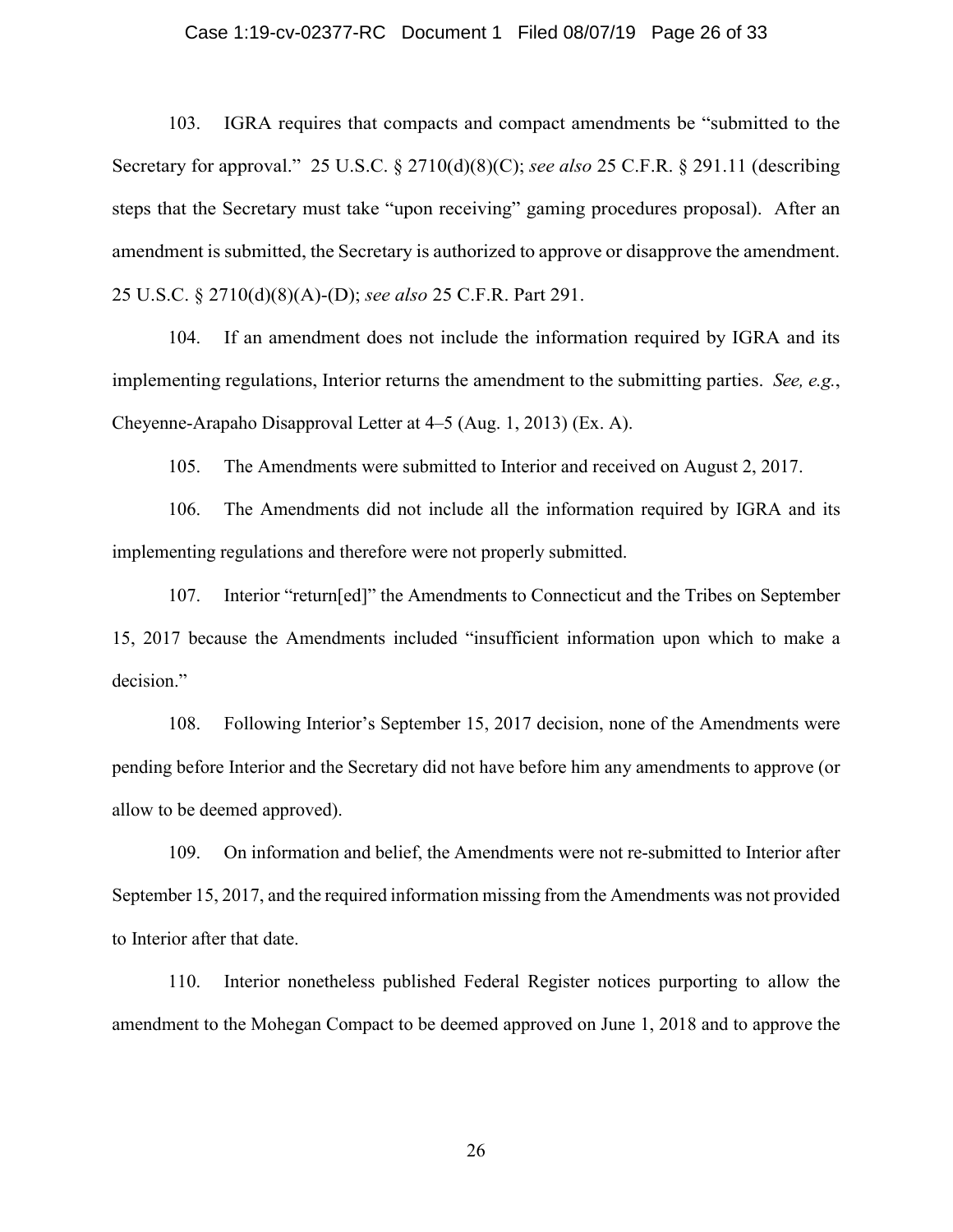# Case 1:19-cv-02377-RC Document 1 Filed 08/07/19 Page 26 of 33

103. IGRA requires that compacts and compact amendments be "submitted to the Secretary for approval." 25 U.S.C. § 2710(d)(8)(C); *see also* 25 C.F.R. § 291.11 (describing steps that the Secretary must take "upon receiving" gaming procedures proposal). After an amendment is submitted, the Secretary is authorized to approve or disapprove the amendment. 25 U.S.C. § 2710(d)(8)(A)-(D); *see also* 25 C.F.R. Part 291.

104. If an amendment does not include the information required by IGRA and its implementing regulations, Interior returns the amendment to the submitting parties. *See, e.g.*, Cheyenne-Arapaho Disapproval Letter at 4–5 (Aug. 1, 2013) (Ex. A).

105. The Amendments were submitted to Interior and received on August 2, 2017.

106. The Amendments did not include all the information required by IGRA and its implementing regulations and therefore were not properly submitted.

107. Interior "return[ed]" the Amendments to Connecticut and the Tribes on September 15, 2017 because the Amendments included "insufficient information upon which to make a decision."

108. Following Interior's September 15, 2017 decision, none of the Amendments were pending before Interior and the Secretary did not have before him any amendments to approve (or allow to be deemed approved).

109. On information and belief, the Amendments were not re-submitted to Interior after September 15, 2017, and the required information missing from the Amendments was not provided to Interior after that date.

110. Interior nonetheless published Federal Register notices purporting to allow the amendment to the Mohegan Compact to be deemed approved on June 1, 2018 and to approve the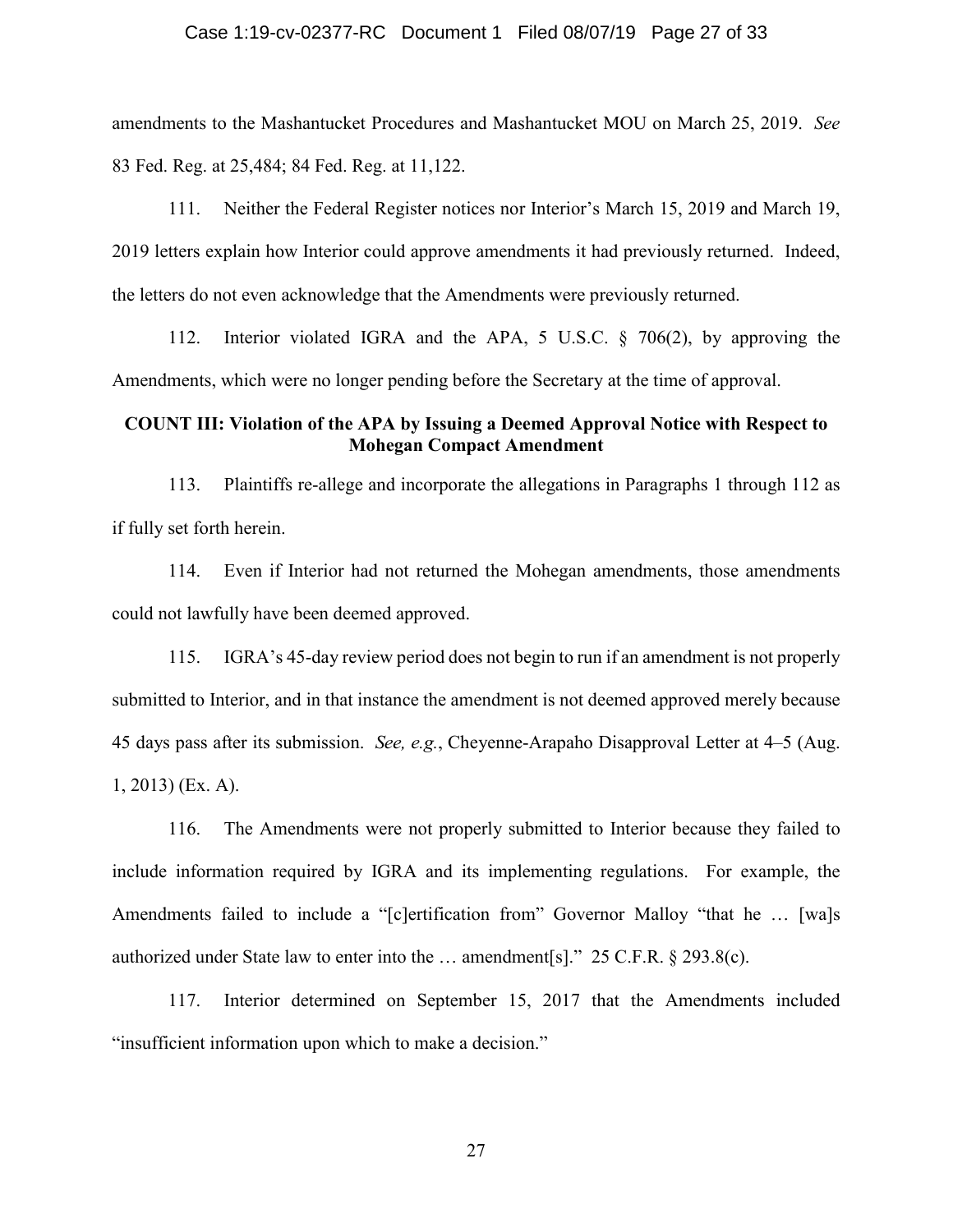# Case 1:19-cv-02377-RC Document 1 Filed 08/07/19 Page 27 of 33

amendments to the Mashantucket Procedures and Mashantucket MOU on March 25, 2019. *See* 83 Fed. Reg. at 25,484; 84 Fed. Reg. at 11,122.

111. Neither the Federal Register notices nor Interior's March 15, 2019 and March 19, 2019 letters explain how Interior could approve amendments it had previously returned. Indeed, the letters do not even acknowledge that the Amendments were previously returned.

112. Interior violated IGRA and the APA, 5 U.S.C. § 706(2), by approving the Amendments, which were no longer pending before the Secretary at the time of approval.

# **COUNT III: Violation of the APA by Issuing a Deemed Approval Notice with Respect to Mohegan Compact Amendment**

113. Plaintiffs re-allege and incorporate the allegations in Paragraphs 1 through 112 as if fully set forth herein.

114. Even if Interior had not returned the Mohegan amendments, those amendments could not lawfully have been deemed approved.

115. IGRA's 45-day review period does not begin to run if an amendment is not properly submitted to Interior, and in that instance the amendment is not deemed approved merely because 45 days pass after its submission. *See, e.g.*, Cheyenne-Arapaho Disapproval Letter at 4–5 (Aug. 1, 2013) (Ex. A).

116. The Amendments were not properly submitted to Interior because they failed to include information required by IGRA and its implementing regulations. For example, the Amendments failed to include a "[c]ertification from" Governor Malloy "that he … [wa]s authorized under State law to enter into the … amendment[s]." 25 C.F.R. § 293.8(c).

117. Interior determined on September 15, 2017 that the Amendments included "insufficient information upon which to make a decision."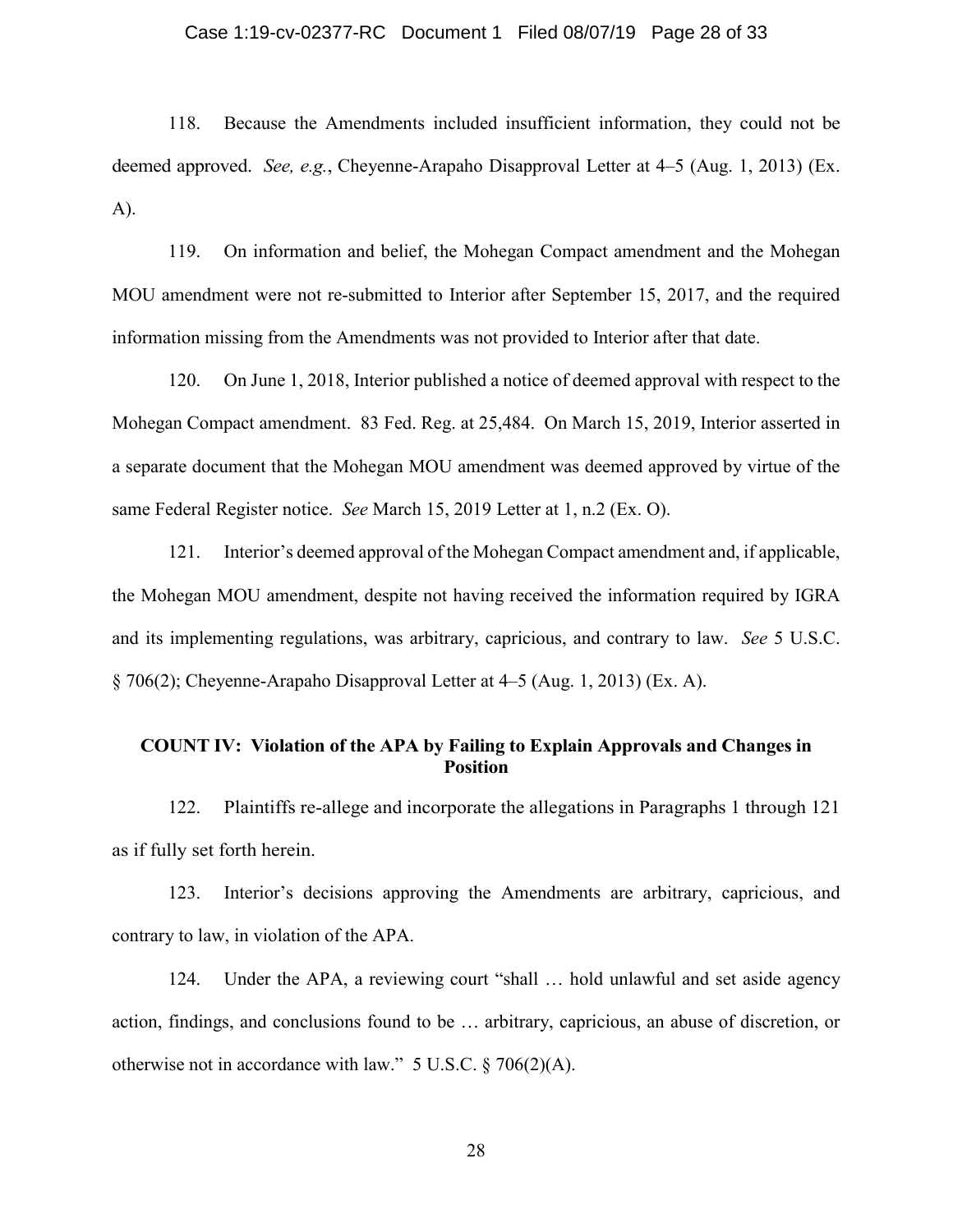# Case 1:19-cv-02377-RC Document 1 Filed 08/07/19 Page 28 of 33

118. Because the Amendments included insufficient information, they could not be deemed approved. *See, e.g.*, Cheyenne-Arapaho Disapproval Letter at 4–5 (Aug. 1, 2013) (Ex. A).

119. On information and belief, the Mohegan Compact amendment and the Mohegan MOU amendment were not re-submitted to Interior after September 15, 2017, and the required information missing from the Amendments was not provided to Interior after that date.

120. On June 1, 2018, Interior published a notice of deemed approval with respect to the Mohegan Compact amendment. 83 Fed. Reg. at 25,484. On March 15, 2019, Interior asserted in a separate document that the Mohegan MOU amendment was deemed approved by virtue of the same Federal Register notice. *See* March 15, 2019 Letter at 1, n.2 (Ex. O).

121. Interior's deemed approval of the Mohegan Compact amendment and, if applicable, the Mohegan MOU amendment, despite not having received the information required by IGRA and its implementing regulations, was arbitrary, capricious, and contrary to law. *See* 5 U.S.C. § 706(2); Cheyenne-Arapaho Disapproval Letter at 4–5 (Aug. 1, 2013) (Ex. A).

# **COUNT IV: Violation of the APA by Failing to Explain Approvals and Changes in Position**

122. Plaintiffs re-allege and incorporate the allegations in Paragraphs 1 through 121 as if fully set forth herein.

123. Interior's decisions approving the Amendments are arbitrary, capricious, and contrary to law, in violation of the APA.

124. Under the APA, a reviewing court "shall … hold unlawful and set aside agency action, findings, and conclusions found to be … arbitrary, capricious, an abuse of discretion, or otherwise not in accordance with law." 5 U.S.C. § 706(2)(A).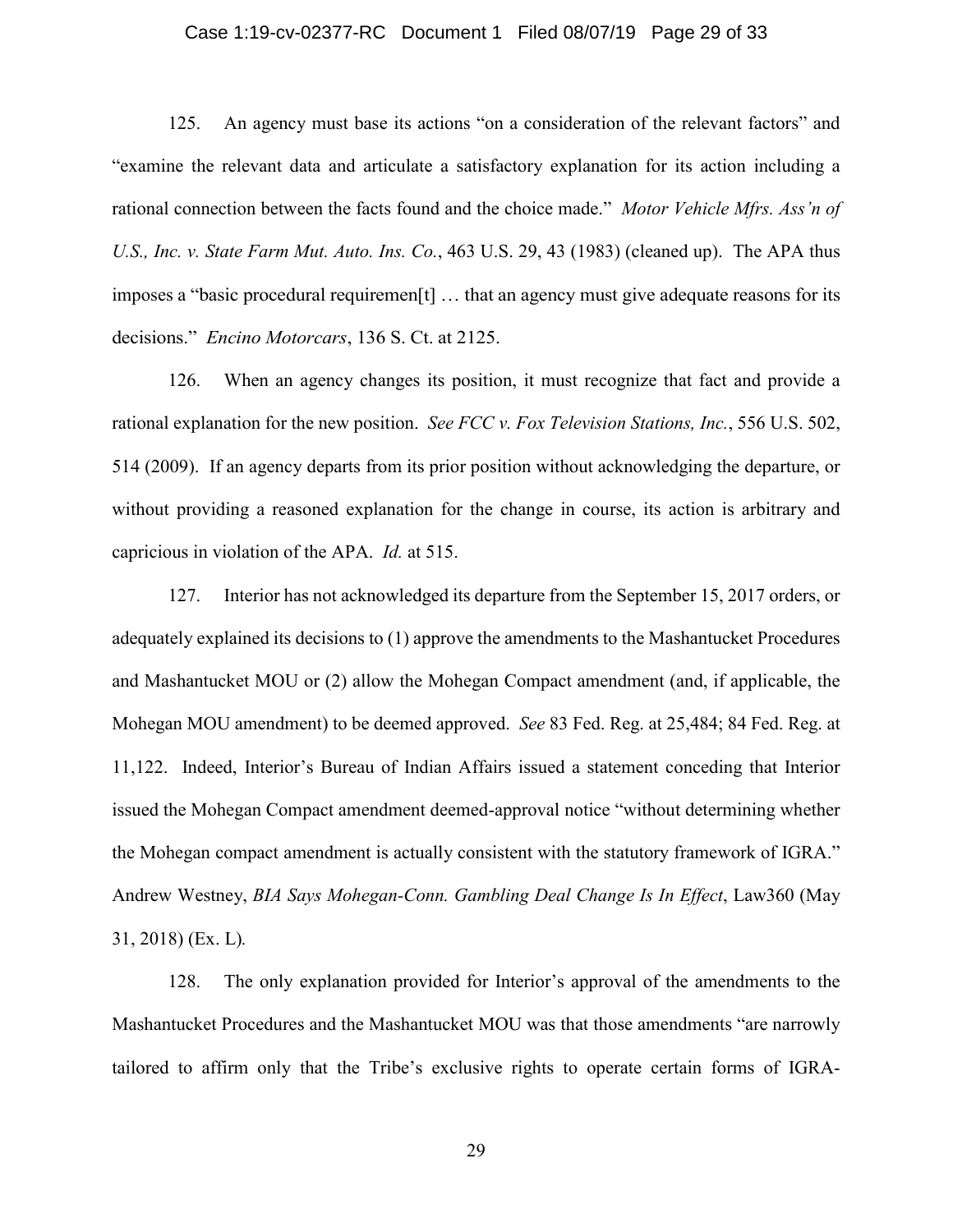# Case 1:19-cv-02377-RC Document 1 Filed 08/07/19 Page 29 of 33

125. An agency must base its actions "on a consideration of the relevant factors" and "examine the relevant data and articulate a satisfactory explanation for its action including a rational connection between the facts found and the choice made." *Motor Vehicle Mfrs. Ass'n of U.S., Inc. v. State Farm Mut. Auto. Ins. Co.*, 463 U.S. 29, 43 (1983) (cleaned up). The APA thus imposes a "basic procedural requiremen[t] … that an agency must give adequate reasons for its decisions." *Encino Motorcars*, 136 S. Ct. at 2125.

126. When an agency changes its position, it must recognize that fact and provide a rational explanation for the new position. *See FCC v. Fox Television Stations, Inc.*, 556 U.S. 502, 514 (2009). If an agency departs from its prior position without acknowledging the departure, or without providing a reasoned explanation for the change in course, its action is arbitrary and capricious in violation of the APA. *Id.* at 515.

127. Interior has not acknowledged its departure from the September 15, 2017 orders, or adequately explained its decisions to (1) approve the amendments to the Mashantucket Procedures and Mashantucket MOU or (2) allow the Mohegan Compact amendment (and, if applicable, the Mohegan MOU amendment) to be deemed approved. *See* 83 Fed. Reg. at 25,484; 84 Fed. Reg. at 11,122. Indeed, Interior's Bureau of Indian Affairs issued a statement conceding that Interior issued the Mohegan Compact amendment deemed-approval notice "without determining whether the Mohegan compact amendment is actually consistent with the statutory framework of IGRA." Andrew Westney, *BIA Says Mohegan-Conn. Gambling Deal Change Is In Effect*, Law360 (May 31, 2018) (Ex. L)*.*

128. The only explanation provided for Interior's approval of the amendments to the Mashantucket Procedures and the Mashantucket MOU was that those amendments "are narrowly tailored to affirm only that the Tribe's exclusive rights to operate certain forms of IGRA-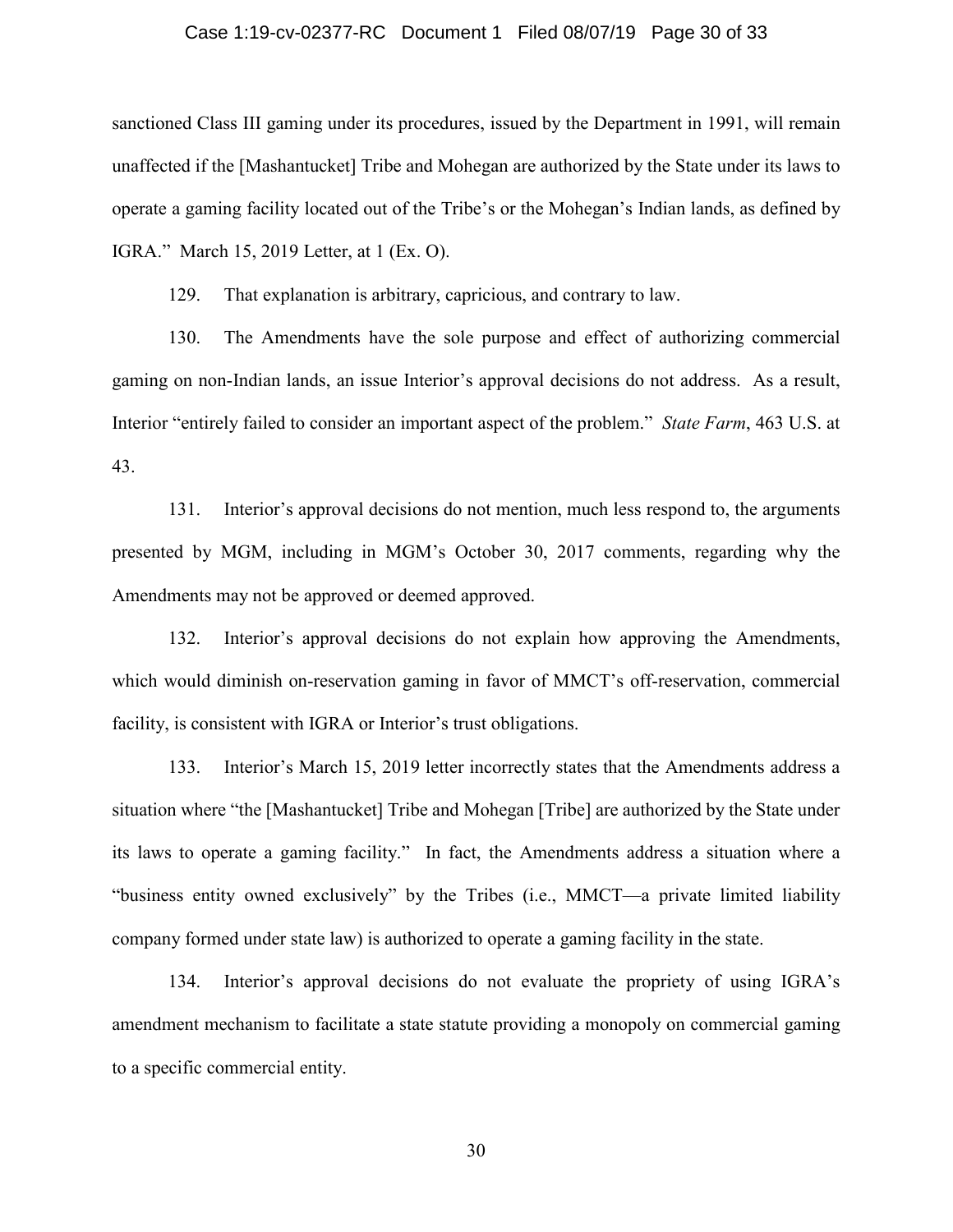# Case 1:19-cv-02377-RC Document 1 Filed 08/07/19 Page 30 of 33

sanctioned Class III gaming under its procedures, issued by the Department in 1991, will remain unaffected if the [Mashantucket] Tribe and Mohegan are authorized by the State under its laws to operate a gaming facility located out of the Tribe's or the Mohegan's Indian lands, as defined by IGRA." March 15, 2019 Letter, at 1 (Ex. O).

129. That explanation is arbitrary, capricious, and contrary to law.

130. The Amendments have the sole purpose and effect of authorizing commercial gaming on non-Indian lands, an issue Interior's approval decisions do not address. As a result, Interior "entirely failed to consider an important aspect of the problem." *State Farm*, 463 U.S. at 43.

131. Interior's approval decisions do not mention, much less respond to, the arguments presented by MGM, including in MGM's October 30, 2017 comments, regarding why the Amendments may not be approved or deemed approved.

132. Interior's approval decisions do not explain how approving the Amendments, which would diminish on-reservation gaming in favor of MMCT's off-reservation, commercial facility, is consistent with IGRA or Interior's trust obligations.

133. Interior's March 15, 2019 letter incorrectly states that the Amendments address a situation where "the [Mashantucket] Tribe and Mohegan [Tribe] are authorized by the State under its laws to operate a gaming facility." In fact, the Amendments address a situation where a "business entity owned exclusively" by the Tribes (i.e., MMCT—a private limited liability company formed under state law) is authorized to operate a gaming facility in the state.

134. Interior's approval decisions do not evaluate the propriety of using IGRA's amendment mechanism to facilitate a state statute providing a monopoly on commercial gaming to a specific commercial entity.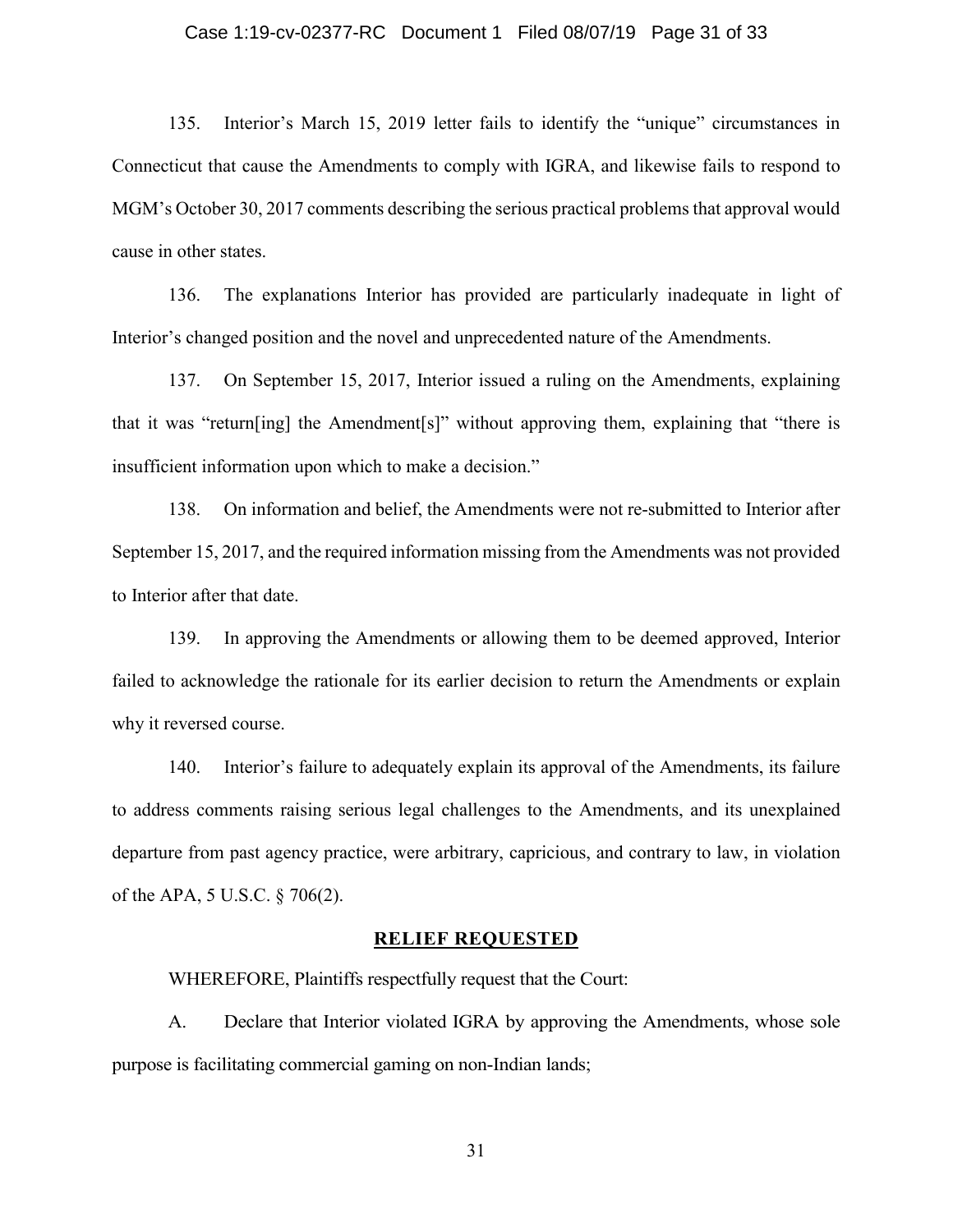# Case 1:19-cv-02377-RC Document 1 Filed 08/07/19 Page 31 of 33

135. Interior's March 15, 2019 letter fails to identify the "unique" circumstances in Connecticut that cause the Amendments to comply with IGRA, and likewise fails to respond to MGM's October 30, 2017 comments describing the serious practical problems that approval would cause in other states.

136. The explanations Interior has provided are particularly inadequate in light of Interior's changed position and the novel and unprecedented nature of the Amendments.

137. On September 15, 2017, Interior issued a ruling on the Amendments, explaining that it was "return[ing] the Amendment[s]" without approving them, explaining that "there is insufficient information upon which to make a decision."

138. On information and belief, the Amendments were not re-submitted to Interior after September 15, 2017, and the required information missing from the Amendments was not provided to Interior after that date.

139. In approving the Amendments or allowing them to be deemed approved, Interior failed to acknowledge the rationale for its earlier decision to return the Amendments or explain why it reversed course.

140. Interior's failure to adequately explain its approval of the Amendments, its failure to address comments raising serious legal challenges to the Amendments, and its unexplained departure from past agency practice, were arbitrary, capricious, and contrary to law, in violation of the APA, 5 U.S.C. § 706(2).

# **RELIEF REQUESTED**

WHEREFORE, Plaintiffs respectfully request that the Court:

A. Declare that Interior violated IGRA by approving the Amendments, whose sole purpose is facilitating commercial gaming on non-Indian lands;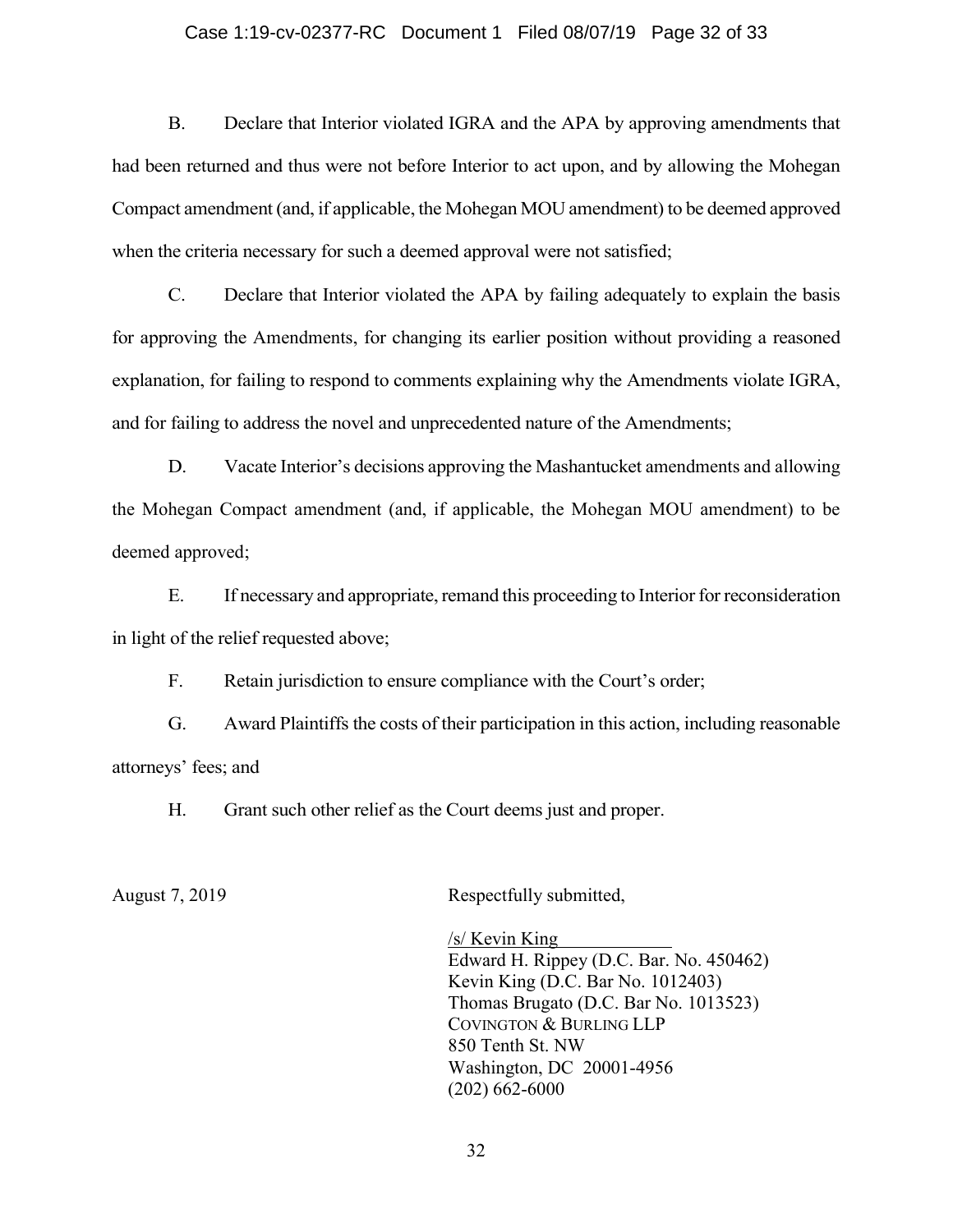# Case 1:19-cv-02377-RC Document 1 Filed 08/07/19 Page 32 of 33

B. Declare that Interior violated IGRA and the APA by approving amendments that had been returned and thus were not before Interior to act upon, and by allowing the Mohegan Compact amendment (and, if applicable, the Mohegan MOU amendment) to be deemed approved when the criteria necessary for such a deemed approval were not satisfied;

C. Declare that Interior violated the APA by failing adequately to explain the basis for approving the Amendments, for changing its earlier position without providing a reasoned explanation, for failing to respond to comments explaining why the Amendments violate IGRA, and for failing to address the novel and unprecedented nature of the Amendments;

D. Vacate Interior's decisions approving the Mashantucket amendments and allowing the Mohegan Compact amendment (and, if applicable, the Mohegan MOU amendment) to be deemed approved;

E. If necessary and appropriate, remand this proceeding to Interior for reconsideration in light of the relief requested above;

F. Retain jurisdiction to ensure compliance with the Court's order;

G. Award Plaintiffs the costs of their participation in this action, including reasonable attorneys' fees; and

H. Grant such other relief as the Court deems just and proper.

August 7, 2019 Respectfully submitted,

/s/ Kevin King Edward H. Rippey (D.C. Bar. No. 450462) Kevin King (D.C. Bar No. 1012403) Thomas Brugato (D.C. Bar No. 1013523) COVINGTON & BURLING LLP 850 Tenth St. NW Washington, DC 20001-4956 (202) 662-6000